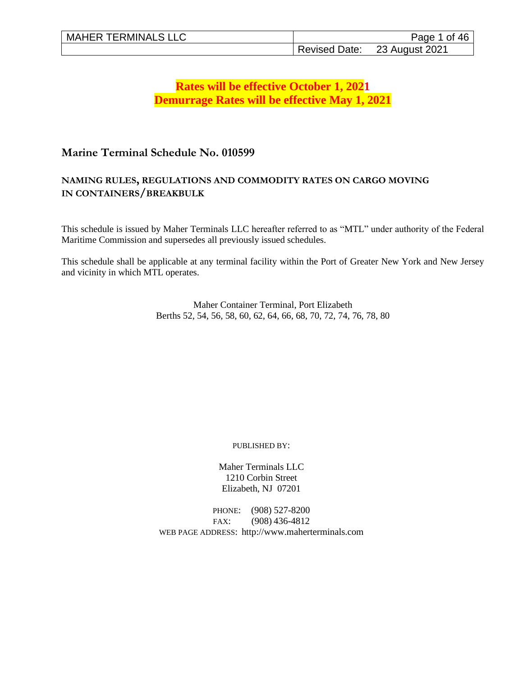# **Rates will be effective October 1, 2021 Demurrage Rates will be effective May 1, 2021**

# **Marine Terminal Schedule No. 010599**

## **NAMING RULES, REGULATIONS AND COMMODITY RATES ON CARGO MOVING IN CONTAINERS/BREAKBULK**

This schedule is issued by Maher Terminals LLC hereafter referred to as "MTL" under authority of the Federal Maritime Commission and supersedes all previously issued schedules.

This schedule shall be applicable at any terminal facility within the Port of Greater New York and New Jersey and vicinity in which MTL operates.

> Maher Container Terminal, Port Elizabeth Berths 52, 54, 56, 58, 60, 62, 64, 66, 68, 70, 72, 74, 76, 78, 80

> > PUBLISHED BY:

Maher Terminals LLC 1210 Corbin Street Elizabeth, NJ 07201

PHONE: (908) 527-8200 FAX: (908) 436-4812 WEB PAGE ADDRESS: http://www.maherterminals.com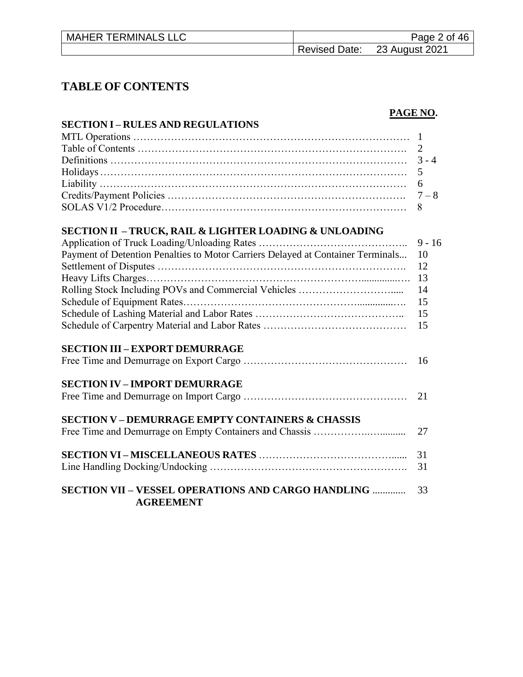| <b>MAHER TERMINALS LLC</b> | Page 2 of 46                 |
|----------------------------|------------------------------|
|                            | Revised Date: 23 August 2021 |

# **TABLE OF CONTENTS**

# **PAGE NO.**

| <b>SECTION I – RULES AND REGULATIONS</b>                                        |          |
|---------------------------------------------------------------------------------|----------|
|                                                                                 |          |
|                                                                                 | 2        |
|                                                                                 | $3 - 4$  |
|                                                                                 | 5        |
|                                                                                 | 6        |
|                                                                                 | $7 - 8$  |
|                                                                                 | 8        |
| SECTION II – TRUCK, RAIL & LIGHTER LOADING & UNLOADING                          |          |
|                                                                                 | $9 - 16$ |
| Payment of Detention Penalties to Motor Carriers Delayed at Container Terminals | 10       |
|                                                                                 | 12       |
|                                                                                 | 13       |
|                                                                                 | 14       |
|                                                                                 | 15       |
|                                                                                 | 15       |
|                                                                                 | 15       |
| <b>SECTION III – EXPORT DEMURRAGE</b>                                           |          |
|                                                                                 | 16       |
| <b>SECTION IV – IMPORT DEMURRAGE</b>                                            |          |
|                                                                                 | 21       |
| <b>SECTION V-DEMURRAGE EMPTY CONTAINERS &amp; CHASSIS</b>                       |          |
|                                                                                 | 27       |
|                                                                                 | 31       |
|                                                                                 | 31       |
| <b>SECTION VII - VESSEL OPERATIONS AND CARGO HANDLING </b>                      | 33       |

 **AGREEMENT**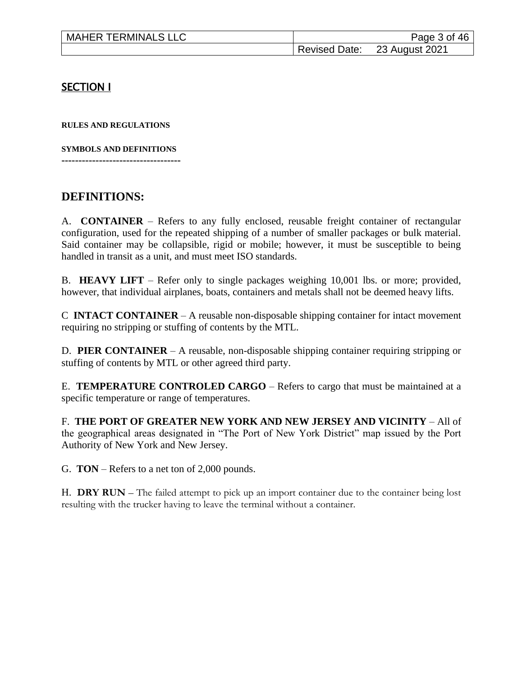| <b>MAHER TERMINALS LLC</b> | Page 3 of 46                 |
|----------------------------|------------------------------|
|                            | Revised Date: 23 August 2021 |

## **SECTION I**

**RULES AND REGULATIONS**

**SYMBOLS AND DEFINITIONS -----------------------------------**

# **DEFINITIONS:**

A. **CONTAINER** – Refers to any fully enclosed, reusable freight container of rectangular configuration, used for the repeated shipping of a number of smaller packages or bulk material. Said container may be collapsible, rigid or mobile; however, it must be susceptible to being handled in transit as a unit, and must meet ISO standards.

B. **HEAVY LIFT** – Refer only to single packages weighing 10,001 lbs. or more; provided, however, that individual airplanes, boats, containers and metals shall not be deemed heavy lifts.

C **INTACT CONTAINER** – A reusable non-disposable shipping container for intact movement requiring no stripping or stuffing of contents by the MTL.

D. **PIER CONTAINER** – A reusable, non-disposable shipping container requiring stripping or stuffing of contents by MTL or other agreed third party.

E. **TEMPERATURE CONTROLED CARGO** – Refers to cargo that must be maintained at a specific temperature or range of temperatures.

F. **THE PORT OF GREATER NEW YORK AND NEW JERSEY AND VICINITY** – All of the geographical areas designated in "The Port of New York District" map issued by the Port Authority of New York and New Jersey.

G. **TON** – Refers to a net ton of 2,000 pounds.

H. **DRY RUN** – The failed attempt to pick up an import container due to the container being lost resulting with the trucker having to leave the terminal without a container.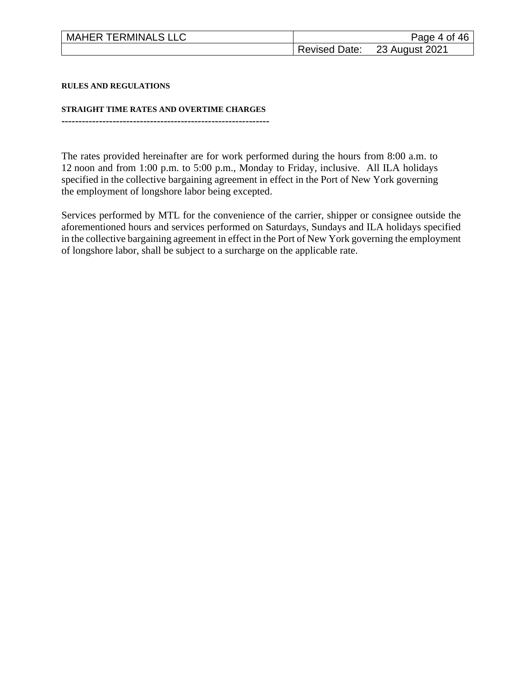| <b>MAHER TERMINALS LLC</b> | Page 4 of 46                 |
|----------------------------|------------------------------|
|                            | Revised Date: 23 August 2021 |

**RULES AND REGULATIONS**

**STRAIGHT TIME RATES AND OVERTIME CHARGES -------------------------------------------------------------**

The rates provided hereinafter are for work performed during the hours from 8:00 a.m. to 12 noon and from 1:00 p.m. to 5:00 p.m., Monday to Friday, inclusive. All ILA holidays specified in the collective bargaining agreement in effect in the Port of New York governing the employment of longshore labor being excepted.

Services performed by MTL for the convenience of the carrier, shipper or consignee outside the aforementioned hours and services performed on Saturdays, Sundays and ILA holidays specified in the collective bargaining agreement in effect in the Port of New York governing the employment of longshore labor, shall be subject to a surcharge on the applicable rate.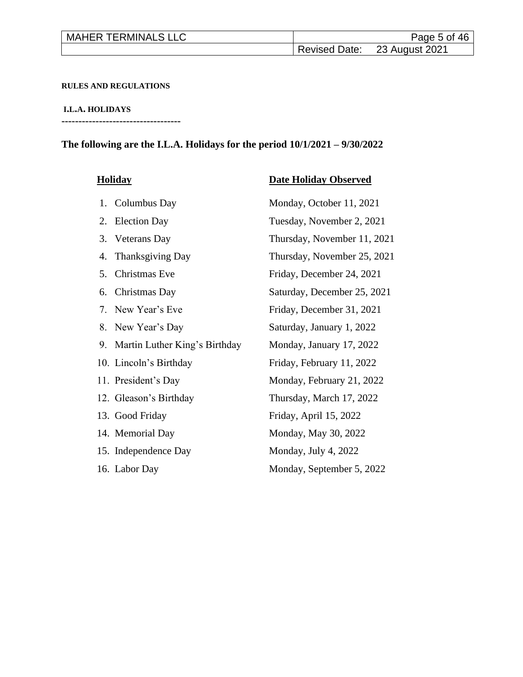| <b>MAHER TERMINALS LLC</b> | Page 5 of 46                 |
|----------------------------|------------------------------|
|                            | Revised Date: 23 August 2021 |

#### **RULES AND REGULATIONS**

**I.L.A. HOLIDAYS**

**-----------------------------------**

# **The following are the I.L.A. Holidays for the period 10/1/2021 – 9/30/2022**

| <b>Holiday</b>                                            | <b>Date Holiday Observed</b> |
|-----------------------------------------------------------|------------------------------|
| 1. Columbus Day                                           | Monday, October 11, 2021     |
| <b>Election Day</b><br>2.                                 | Tuesday, November 2, 2021    |
| 3. Veterans Day                                           | Thursday, November 11, 2021  |
| Thanksgiving Day<br>4.                                    | Thursday, November 25, 2021  |
| Christmas Eve<br>5.                                       | Friday, December 24, 2021    |
| Christmas Day<br>6.                                       | Saturday, December 25, 2021  |
| New Year's Eve<br>$7_{\scriptscriptstyle{\ddot{\wedge}}}$ | Friday, December 31, 2021    |
| 8. New Year's Day                                         | Saturday, January 1, 2022    |
| 9. Martin Luther King's Birthday                          | Monday, January 17, 2022     |
| 10. Lincoln's Birthday                                    | Friday, February 11, 2022    |
| 11. President's Day                                       | Monday, February 21, 2022    |
| 12. Gleason's Birthday                                    | Thursday, March 17, 2022     |
| 13. Good Friday                                           | Friday, April 15, 2022       |
| 14. Memorial Day                                          | Monday, May 30, 2022         |
| 15. Independence Day                                      | Monday, July 4, 2022         |
| 16. Labor Day                                             | Monday, September 5, 2022    |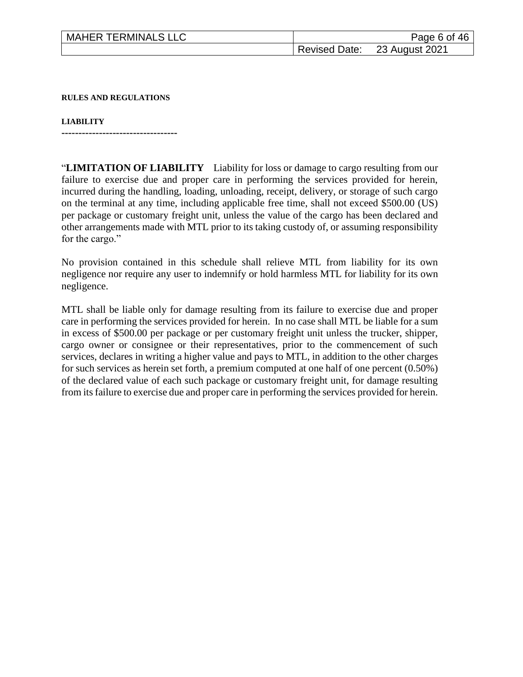| <b>MAHER TERMINALS LLC</b> | Page 6 of 46                 |
|----------------------------|------------------------------|
|                            | Revised Date: 23 August 2021 |

**RULES AND REGULATIONS**

**LIABILITY**

**----------------------------------**

"**LIMITATION OF LIABILITY** Liability for loss or damage to cargo resulting from our failure to exercise due and proper care in performing the services provided for herein, incurred during the handling, loading, unloading, receipt, delivery, or storage of such cargo on the terminal at any time, including applicable free time, shall not exceed \$500.00 (US) per package or customary freight unit, unless the value of the cargo has been declared and other arrangements made with MTL prior to its taking custody of, or assuming responsibility for the cargo."

No provision contained in this schedule shall relieve MTL from liability for its own negligence nor require any user to indemnify or hold harmless MTL for liability for its own negligence.

MTL shall be liable only for damage resulting from its failure to exercise due and proper care in performing the services provided for herein. In no case shall MTL be liable for a sum in excess of \$500.00 per package or per customary freight unit unless the trucker, shipper, cargo owner or consignee or their representatives, prior to the commencement of such services, declares in writing a higher value and pays to MTL, in addition to the other charges for such services as herein set forth, a premium computed at one half of one percent (0.50%) of the declared value of each such package or customary freight unit, for damage resulting from its failure to exercise due and proper care in performing the services provided for herein.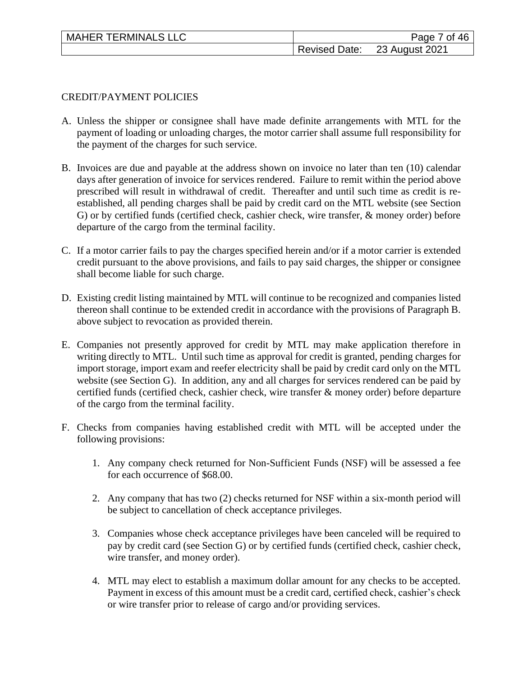| <b>MAHER TERMINALS LLC</b> | Page 7 of 46                 |
|----------------------------|------------------------------|
|                            | Revised Date: 23 August 2021 |

#### CREDIT/PAYMENT POLICIES

- A. Unless the shipper or consignee shall have made definite arrangements with MTL for the payment of loading or unloading charges, the motor carrier shall assume full responsibility for the payment of the charges for such service.
- B. Invoices are due and payable at the address shown on invoice no later than ten (10) calendar days after generation of invoice for services rendered. Failure to remit within the period above prescribed will result in withdrawal of credit. Thereafter and until such time as credit is reestablished, all pending charges shall be paid by credit card on the MTL website (see Section G) or by certified funds (certified check, cashier check, wire transfer, & money order) before departure of the cargo from the terminal facility.
- C. If a motor carrier fails to pay the charges specified herein and/or if a motor carrier is extended credit pursuant to the above provisions, and fails to pay said charges, the shipper or consignee shall become liable for such charge.
- D. Existing credit listing maintained by MTL will continue to be recognized and companies listed thereon shall continue to be extended credit in accordance with the provisions of Paragraph B. above subject to revocation as provided therein.
- E. Companies not presently approved for credit by MTL may make application therefore in writing directly to MTL. Until such time as approval for credit is granted, pending charges for import storage, import exam and reefer electricity shall be paid by credit card only on the MTL website (see Section G). In addition, any and all charges for services rendered can be paid by certified funds (certified check, cashier check, wire transfer & money order) before departure of the cargo from the terminal facility.
- F. Checks from companies having established credit with MTL will be accepted under the following provisions:
	- 1. Any company check returned for Non-Sufficient Funds (NSF) will be assessed a fee for each occurrence of \$68.00.
	- 2. Any company that has two (2) checks returned for NSF within a six-month period will be subject to cancellation of check acceptance privileges.
	- 3. Companies whose check acceptance privileges have been canceled will be required to pay by credit card (see Section G) or by certified funds (certified check, cashier check, wire transfer, and money order).
	- 4. MTL may elect to establish a maximum dollar amount for any checks to be accepted. Payment in excess of this amount must be a credit card, certified check, cashier's check or wire transfer prior to release of cargo and/or providing services.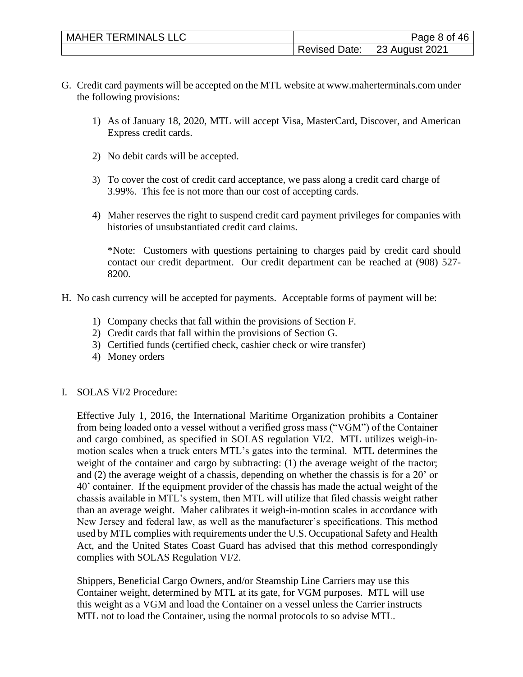| <b>MAHER TERMINALS LLC</b> | Page 8 of 46                 |
|----------------------------|------------------------------|
|                            | Revised Date: 23 August 2021 |

- G. Credit card payments will be accepted on the MTL website at www.maherterminals.com under the following provisions:
	- 1) As of January 18, 2020, MTL will accept Visa, MasterCard, Discover, and American Express credit cards.
	- 2) No debit cards will be accepted.
	- 3) To cover the cost of credit card acceptance, we pass along a credit card charge of 3.99%. This fee is not more than our cost of accepting cards.
	- 4) Maher reserves the right to suspend credit card payment privileges for companies with histories of unsubstantiated credit card claims.

\*Note: Customers with questions pertaining to charges paid by credit card should contact our credit department. Our credit department can be reached at (908) 527- 8200.

- H. No cash currency will be accepted for payments. Acceptable forms of payment will be:
	- 1) Company checks that fall within the provisions of Section F.
	- 2) Credit cards that fall within the provisions of Section G.
	- 3) Certified funds (certified check, cashier check or wire transfer)
	- 4) Money orders
- I. SOLAS VI/2 Procedure:

Effective July 1, 2016, the International Maritime Organization prohibits a Container from being loaded onto a vessel without a verified gross mass ("VGM") of the Container and cargo combined, as specified in SOLAS regulation VI/2. MTL utilizes weigh-inmotion scales when a truck enters MTL's gates into the terminal. MTL determines the weight of the container and cargo by subtracting: (1) the average weight of the tractor; and (2) the average weight of a chassis, depending on whether the chassis is for a 20' or 40' container. If the equipment provider of the chassis has made the actual weight of the chassis available in MTL's system, then MTL will utilize that filed chassis weight rather than an average weight. Maher calibrates it weigh-in-motion scales in accordance with New Jersey and federal law, as well as the manufacturer's specifications. This method used by MTL complies with requirements under the U.S. Occupational Safety and Health Act, and the United States Coast Guard has advised that this method correspondingly complies with SOLAS Regulation VI/2.

Shippers, Beneficial Cargo Owners, and/or Steamship Line Carriers may use this Container weight, determined by MTL at its gate, for VGM purposes. MTL will use this weight as a VGM and load the Container on a vessel unless the Carrier instructs MTL not to load the Container, using the normal protocols to so advise MTL.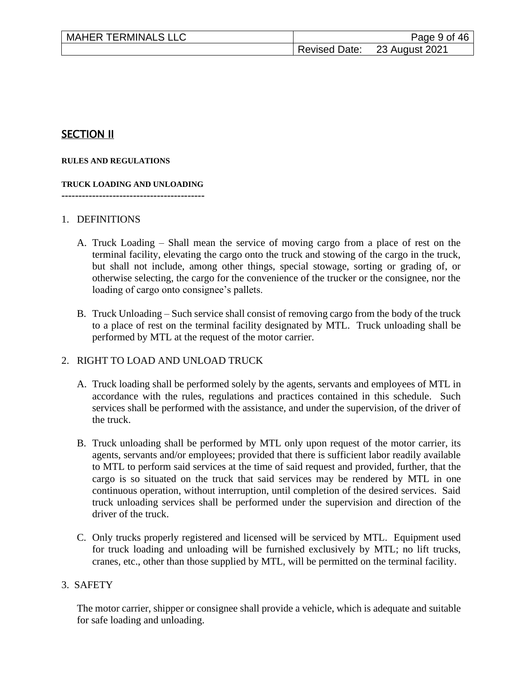| <b>MAHER TERMINALS LLC</b> |                      | Page 9 of 46   |
|----------------------------|----------------------|----------------|
|                            | <b>Revised Date:</b> | 23 August 2021 |

# SECTION II

#### **RULES AND REGULATIONS**

## **TRUCK LOADING AND UNLOADING**

**------------------------------------------**

#### 1. DEFINITIONS

- A. Truck Loading Shall mean the service of moving cargo from a place of rest on the terminal facility, elevating the cargo onto the truck and stowing of the cargo in the truck, but shall not include, among other things, special stowage, sorting or grading of, or otherwise selecting, the cargo for the convenience of the trucker or the consignee, nor the loading of cargo onto consignee's pallets.
- B. Truck Unloading Such service shall consist of removing cargo from the body of the truck to a place of rest on the terminal facility designated by MTL. Truck unloading shall be performed by MTL at the request of the motor carrier.

#### 2. RIGHT TO LOAD AND UNLOAD TRUCK

- A. Truck loading shall be performed solely by the agents, servants and employees of MTL in accordance with the rules, regulations and practices contained in this schedule. Such services shall be performed with the assistance, and under the supervision, of the driver of the truck.
- B. Truck unloading shall be performed by MTL only upon request of the motor carrier, its agents, servants and/or employees; provided that there is sufficient labor readily available to MTL to perform said services at the time of said request and provided, further, that the cargo is so situated on the truck that said services may be rendered by MTL in one continuous operation, without interruption, until completion of the desired services. Said truck unloading services shall be performed under the supervision and direction of the driver of the truck.
- C. Only trucks properly registered and licensed will be serviced by MTL. Equipment used for truck loading and unloading will be furnished exclusively by MTL; no lift trucks, cranes, etc., other than those supplied by MTL, will be permitted on the terminal facility.

#### 3. SAFETY

The motor carrier, shipper or consignee shall provide a vehicle, which is adequate and suitable for safe loading and unloading.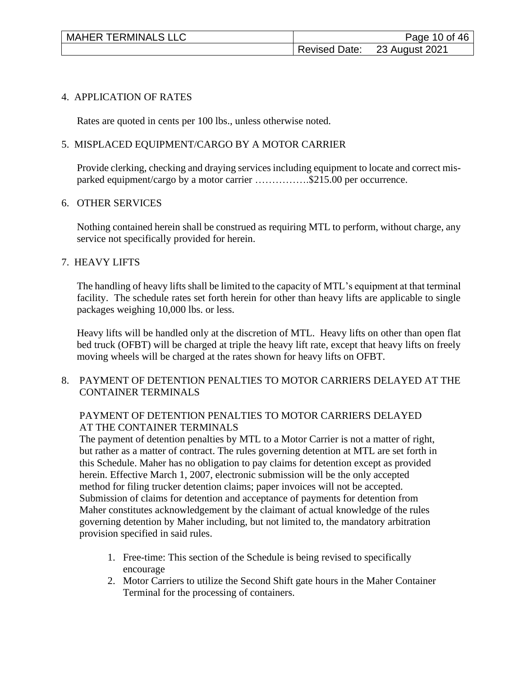| <b>MAHER TERMINALS LLC</b> | Page 10 of 46                |
|----------------------------|------------------------------|
|                            | Revised Date: 23 August 2021 |

#### 4. APPLICATION OF RATES

Rates are quoted in cents per 100 lbs., unless otherwise noted.

#### 5. MISPLACED EQUIPMENT/CARGO BY A MOTOR CARRIER

Provide clerking, checking and draying services including equipment to locate and correct misparked equipment/cargo by a motor carrier …………….\$215.00 per occurrence.

#### 6. OTHER SERVICES

Nothing contained herein shall be construed as requiring MTL to perform, without charge, any service not specifically provided for herein.

#### 7. HEAVY LIFTS

The handling of heavy lifts shall be limited to the capacity of MTL's equipment at that terminal facility. The schedule rates set forth herein for other than heavy lifts are applicable to single packages weighing 10,000 lbs. or less.

Heavy lifts will be handled only at the discretion of MTL. Heavy lifts on other than open flat bed truck (OFBT) will be charged at triple the heavy lift rate, except that heavy lifts on freely moving wheels will be charged at the rates shown for heavy lifts on OFBT.

## 8. PAYMENT OF DETENTION PENALTIES TO MOTOR CARRIERS DELAYED AT THE CONTAINER TERMINALS

## PAYMENT OF DETENTION PENALTIES TO MOTOR CARRIERS DELAYED AT THE CONTAINER TERMINALS

 The payment of detention penalties by MTL to a Motor Carrier is not a matter of right, but rather as a matter of contract. The rules governing detention at MTL are set forth in this Schedule. Maher has no obligation to pay claims for detention except as provided herein. Effective March 1, 2007, electronic submission will be the only accepted method for filing trucker detention claims; paper invoices will not be accepted. Submission of claims for detention and acceptance of payments for detention from Maher constitutes acknowledgement by the claimant of actual knowledge of the rules governing detention by Maher including, but not limited to, the mandatory arbitration provision specified in said rules.

- 1. Free-time: This section of the Schedule is being revised to specifically encourage
- 2. Motor Carriers to utilize the Second Shift gate hours in the Maher Container Terminal for the processing of containers.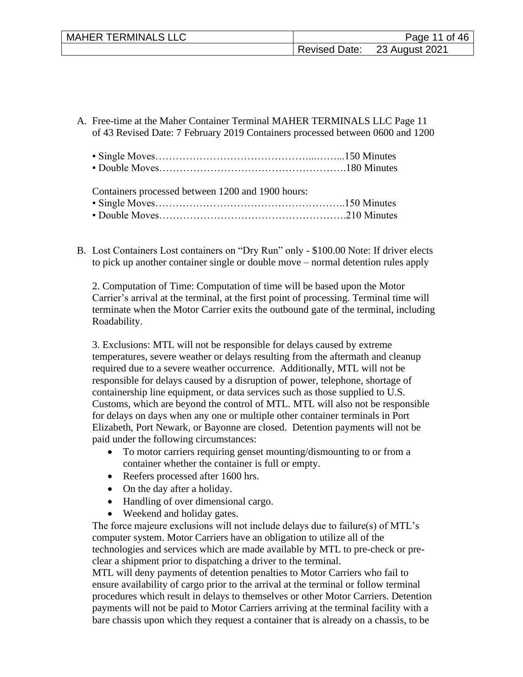| <b>MAHER TERMINALS LLC</b> |                      | Page 11 of 46  |
|----------------------------|----------------------|----------------|
|                            | <b>Revised Date:</b> | 23 August 2021 |

- A. Free-time at the Maher Container Terminal MAHER TERMINALS LLC Page 11 of 43 Revised Date: 7 February 2019 Containers processed between 0600 and 1200
	- Single Moves………………………………………...……...150 Minutes ▪ Double Moves……………………………………………….180 Minutes

Containers processed between 1200 and 1900 hours:

- Single Moves………………………………………………..150 Minutes
- Double Moves……………………………………………….210 Minutes
- B. Lost Containers Lost containers on "Dry Run" only \$100.00 Note: If driver elects to pick up another container single or double move – normal detention rules apply

2. Computation of Time: Computation of time will be based upon the Motor Carrier's arrival at the terminal, at the first point of processing. Terminal time will terminate when the Motor Carrier exits the outbound gate of the terminal, including Roadability.

3. Exclusions: MTL will not be responsible for delays caused by extreme temperatures, severe weather or delays resulting from the aftermath and cleanup required due to a severe weather occurrence. Additionally, MTL will not be responsible for delays caused by a disruption of power, telephone, shortage of containership line equipment, or data services such as those supplied to U.S. Customs, which are beyond the control of MTL. MTL will also not be responsible for delays on days when any one or multiple other container terminals in Port Elizabeth, Port Newark, or Bayonne are closed. Detention payments will not be paid under the following circumstances:

- To motor carriers requiring genset mounting/dismounting to or from a container whether the container is full or empty.
- Reefers processed after 1600 hrs.
- On the day after a holiday.
- Handling of over dimensional cargo.
- Weekend and holiday gates.

The force majeure exclusions will not include delays due to failure(s) of MTL's computer system. Motor Carriers have an obligation to utilize all of the technologies and services which are made available by MTL to pre-check or preclear a shipment prior to dispatching a driver to the terminal.

MTL will deny payments of detention penalties to Motor Carriers who fail to ensure availability of cargo prior to the arrival at the terminal or follow terminal procedures which result in delays to themselves or other Motor Carriers. Detention payments will not be paid to Motor Carriers arriving at the terminal facility with a bare chassis upon which they request a container that is already on a chassis, to be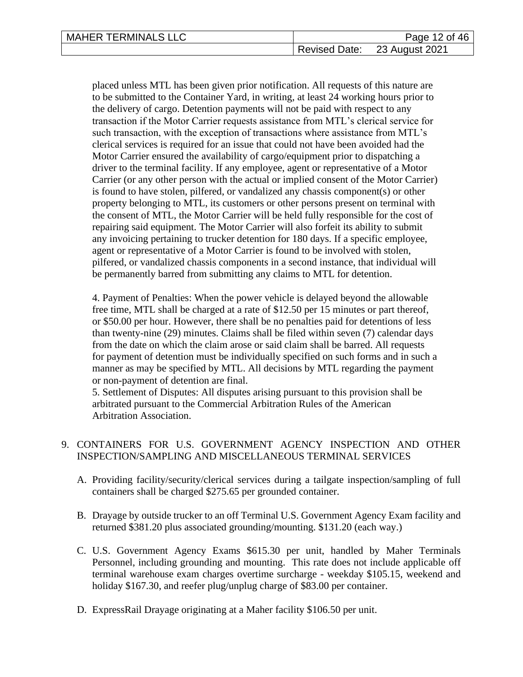| <b>MAHER TERMINALS LLC</b> | Page 12 of 46                |
|----------------------------|------------------------------|
|                            | Revised Date: 23 August 2021 |

placed unless MTL has been given prior notification. All requests of this nature are to be submitted to the Container Yard, in writing, at least 24 working hours prior to the delivery of cargo. Detention payments will not be paid with respect to any transaction if the Motor Carrier requests assistance from MTL's clerical service for such transaction, with the exception of transactions where assistance from MTL's clerical services is required for an issue that could not have been avoided had the Motor Carrier ensured the availability of cargo/equipment prior to dispatching a driver to the terminal facility. If any employee, agent or representative of a Motor Carrier (or any other person with the actual or implied consent of the Motor Carrier) is found to have stolen, pilfered, or vandalized any chassis component(s) or other property belonging to MTL, its customers or other persons present on terminal with the consent of MTL, the Motor Carrier will be held fully responsible for the cost of repairing said equipment. The Motor Carrier will also forfeit its ability to submit any invoicing pertaining to trucker detention for 180 days. If a specific employee, agent or representative of a Motor Carrier is found to be involved with stolen, pilfered, or vandalized chassis components in a second instance, that individual will be permanently barred from submitting any claims to MTL for detention.

4. Payment of Penalties: When the power vehicle is delayed beyond the allowable free time, MTL shall be charged at a rate of \$12.50 per 15 minutes or part thereof, or \$50.00 per hour. However, there shall be no penalties paid for detentions of less than twenty-nine (29) minutes. Claims shall be filed within seven (7) calendar days from the date on which the claim arose or said claim shall be barred. All requests for payment of detention must be individually specified on such forms and in such a manner as may be specified by MTL. All decisions by MTL regarding the payment or non-payment of detention are final.

 5. Settlement of Disputes: All disputes arising pursuant to this provision shall be arbitrated pursuant to the Commercial Arbitration Rules of the American Arbitration Association.

## 9. CONTAINERS FOR U.S. GOVERNMENT AGENCY INSPECTION AND OTHER INSPECTION/SAMPLING AND MISCELLANEOUS TERMINAL SERVICES

- A. Providing facility/security/clerical services during a tailgate inspection/sampling of full containers shall be charged \$275.65 per grounded container.
- B. Drayage by outside trucker to an off Terminal U.S. Government Agency Exam facility and returned \$381.20 plus associated grounding/mounting. \$131.20 (each way.)
- C. U.S. Government Agency Exams \$615.30 per unit, handled by Maher Terminals Personnel, including grounding and mounting. This rate does not include applicable off terminal warehouse exam charges overtime surcharge - weekday \$105.15, weekend and holiday \$167.30, and reefer plug/unplug charge of \$83.00 per container.
- D. ExpressRail Drayage originating at a Maher facility \$106.50 per unit.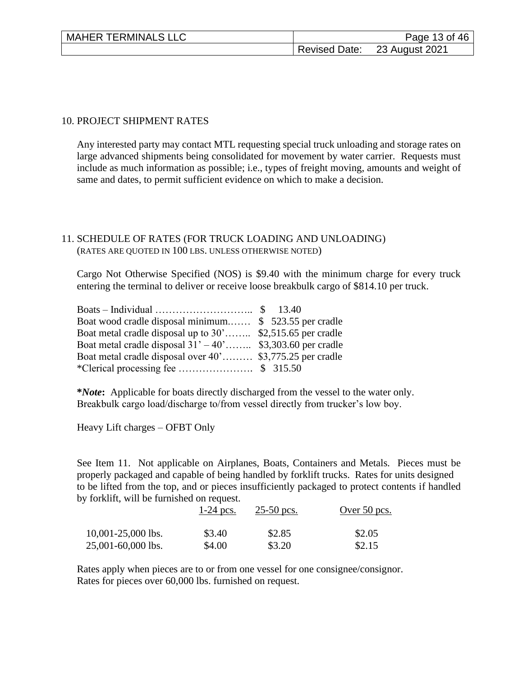| <b>MAHER TERMINALS LLC</b> | Page 13 of 46                |
|----------------------------|------------------------------|
|                            | Revised Date: 23 August 2021 |

#### 10. PROJECT SHIPMENT RATES

Any interested party may contact MTL requesting special truck unloading and storage rates on large advanced shipments being consolidated for movement by water carrier. Requests must include as much information as possible; i.e., types of freight moving, amounts and weight of same and dates, to permit sufficient evidence on which to make a decision.

#### 11. SCHEDULE OF RATES (FOR TRUCK LOADING AND UNLOADING) (RATES ARE QUOTED IN 100 LBS. UNLESS OTHERWISE NOTED)

Cargo Not Otherwise Specified (NOS) is \$9.40 with the minimum charge for every truck entering the terminal to deliver or receive loose breakbulk cargo of \$814.10 per truck.

| Boat wood cradle disposal minimum \$523.55 per cradle        |  |
|--------------------------------------------------------------|--|
| Boat metal cradle disposal up to 30' \$2,515.65 per cradle   |  |
| Boat metal cradle disposal $31' - 40'$ \$3,303.60 per cradle |  |
| Boat metal cradle disposal over 40' \$3,775.25 per cradle    |  |
|                                                              |  |

**\****Note***:** Applicable for boats directly discharged from the vessel to the water only. Breakbulk cargo load/discharge to/from vessel directly from trucker's low boy.

Heavy Lift charges – OFBT Only

See Item 11. Not applicable on Airplanes, Boats, Containers and Metals. Pieces must be properly packaged and capable of being handled by forklift trucks. Rates for units designed to be lifted from the top, and or pieces insufficiently packaged to protect contents if handled by forklift, will be furnished on request.

|                      | $1-24$ pcs. | $25-50$ pcs. | Over 50 pcs. |
|----------------------|-------------|--------------|--------------|
| $10,001-25,000$ lbs. | \$3.40      | \$2.85       | \$2.05       |
| 25,001-60,000 lbs.   | \$4.00      | \$3.20       | \$2.15       |

Rates apply when pieces are to or from one vessel for one consignee/consignor. Rates for pieces over 60,000 lbs. furnished on request.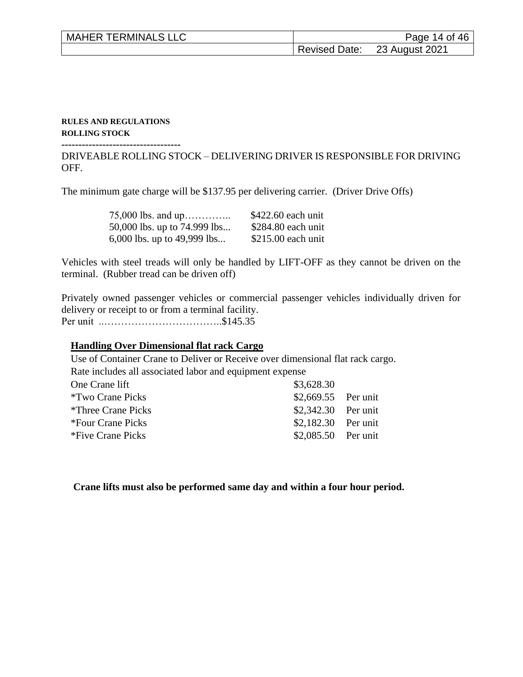| <b>MAHER TERMINALS LLC</b> | Page 14 of 46                |
|----------------------------|------------------------------|
|                            | Revised Date: 23 August 2021 |

#### **RULES AND REGULATIONS ROLLING STOCK**

**-----------------------------------**

DRIVEABLE ROLLING STOCK – DELIVERING DRIVER IS RESPONSIBLE FOR DRIVING OFF.

The minimum gate charge will be \$137.95 per delivering carrier. (Driver Drive Offs)

| 75,000 lbs. and up           | $$422.60$ each unit |
|------------------------------|---------------------|
| 50,000 lbs. up to 74.999 lbs | $$284.80$ each unit |
| 6,000 lbs. up to 49,999 lbs  | $$215.00$ each unit |

Vehicles with steel treads will only be handled by LIFT-OFF as they cannot be driven on the terminal. (Rubber tread can be driven off)

Privately owned passenger vehicles or commercial passenger vehicles individually driven for delivery or receipt to or from a terminal facility. Per unit ..……………………………..\$145.35

#### **Handling Over Dimensional flat rack Cargo**

Use of Container Crane to Deliver or Receive over dimensional flat rack cargo. Rate includes all associated labor and equipment expense One Crane lift \$3,628.30 \*Two Crane Picks \$2,669.55 Per unit \*Three Crane Picks \$2,342.30 Per unit \*Four Crane Picks \$2,182.30 Per unit \*Five Crane Picks \$2,085.50 Per unit

**Crane lifts must also be performed same day and within a four hour period.**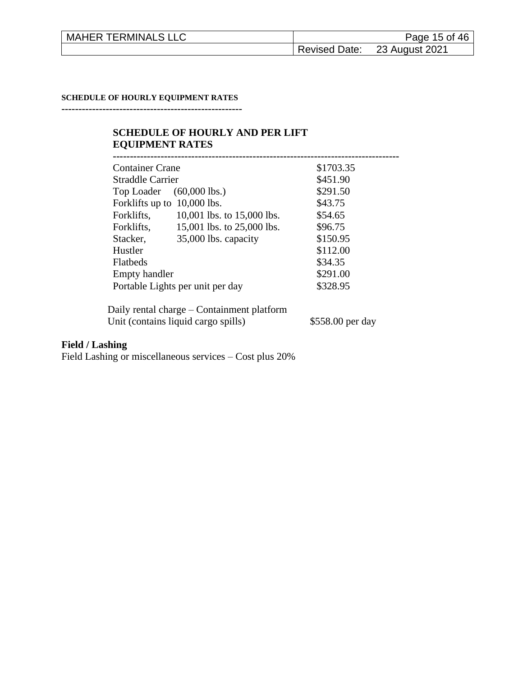| <b>MAHER TERMINALS LLC</b> |                      | Page 15 of 46  |
|----------------------------|----------------------|----------------|
|                            | <b>Revised Date:</b> | 23 August 2021 |

#### **SCHEDULE OF HOURLY EQUIPMENT RATES**

**-----------------------------------------------------**

## **SCHEDULE OF HOURLY AND PER LIFT EQUIPMENT RATES**

| <b>Container Crane</b> |                                            | \$1703.35        |
|------------------------|--------------------------------------------|------------------|
| Straddle Carrier       |                                            | \$451.90         |
| Top Loader             | $(60,000$ lbs.)                            | \$291.50         |
|                        | Forklifts up to 10,000 lbs.                | \$43.75          |
| Forklifts,             | 10,001 lbs. to $15,000$ lbs.               | \$54.65          |
| Forklifts,             | 15,001 lbs. to 25,000 lbs.                 | \$96.75          |
| Stacker,               | 35,000 lbs. capacity                       | \$150.95         |
| Hustler                |                                            | \$112.00         |
| <b>Flatbeds</b>        |                                            | \$34.35          |
| <b>Empty handler</b>   |                                            | \$291.00         |
|                        | Portable Lights per unit per day           | \$328.95         |
|                        | Daily rental charge – Containment platform |                  |
|                        | Unit (contains liquid cargo spills)        | \$558.00 per day |

# **Field / Lashing**

Field Lashing or miscellaneous services – Cost plus 20%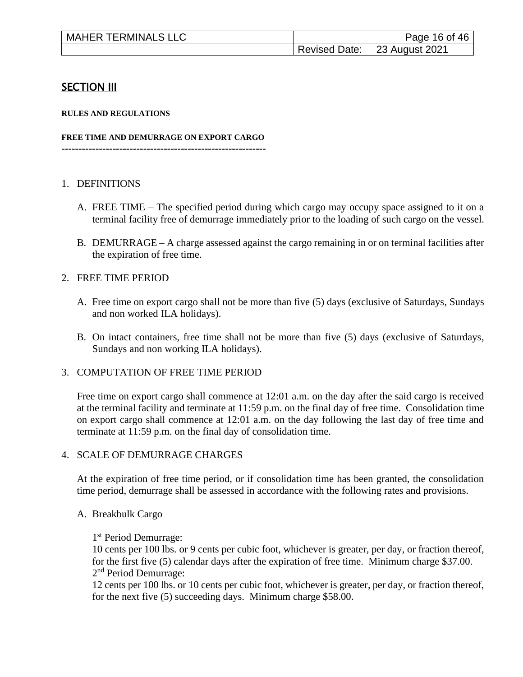| <b>MAHER TERMINALS LLC</b> |               | Page 16 of 46  |
|----------------------------|---------------|----------------|
|                            | Revised Date: | 23 August 2021 |

## SECTION III

#### **RULES AND REGULATIONS**

#### **FREE TIME AND DEMURRAGE ON EXPORT CARGO**

**------------------------------------------------------------**

#### 1. DEFINITIONS

- A. FREE TIME The specified period during which cargo may occupy space assigned to it on a terminal facility free of demurrage immediately prior to the loading of such cargo on the vessel.
- B. DEMURRAGE A charge assessed against the cargo remaining in or on terminal facilities after the expiration of free time.

#### 2. FREE TIME PERIOD

- A. Free time on export cargo shall not be more than five (5) days (exclusive of Saturdays, Sundays and non worked ILA holidays).
- B. On intact containers, free time shall not be more than five (5) days (exclusive of Saturdays, Sundays and non working ILA holidays).

#### 3. COMPUTATION OF FREE TIME PERIOD

Free time on export cargo shall commence at 12:01 a.m. on the day after the said cargo is received at the terminal facility and terminate at 11:59 p.m. on the final day of free time. Consolidation time on export cargo shall commence at 12:01 a.m. on the day following the last day of free time and terminate at 11:59 p.m. on the final day of consolidation time.

#### 4. SCALE OF DEMURRAGE CHARGES

At the expiration of free time period, or if consolidation time has been granted, the consolidation time period, demurrage shall be assessed in accordance with the following rates and provisions.

#### A. Breakbulk Cargo

1 st Period Demurrage:

10 cents per 100 lbs. or 9 cents per cubic foot, whichever is greater, per day, or fraction thereof, for the first five (5) calendar days after the expiration of free time. Minimum charge \$37.00. 2<sup>nd</sup> Period Demurrage:

12 cents per 100 lbs. or 10 cents per cubic foot, whichever is greater, per day, or fraction thereof, for the next five (5) succeeding days. Minimum charge \$58.00.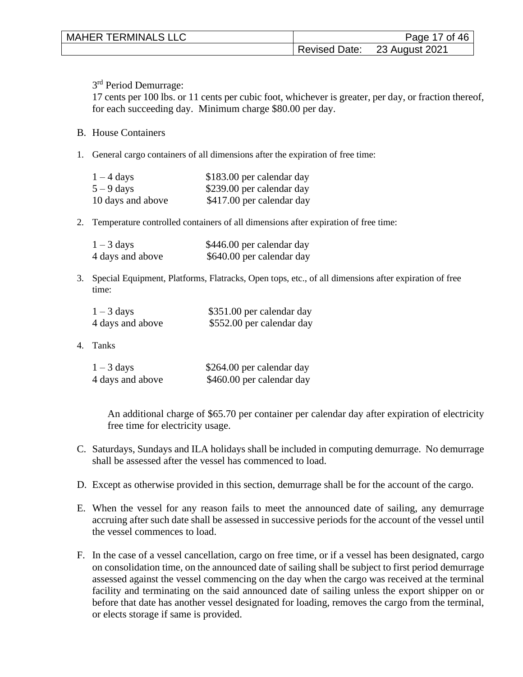| <b>MAHER TERMINALS LLC</b> | Page 17 of 46                |
|----------------------------|------------------------------|
|                            | Revised Date: 23 August 2021 |

3<sup>rd</sup> Period Demurrage:

17 cents per 100 lbs. or 11 cents per cubic foot, whichever is greater, per day, or fraction thereof, for each succeeding day. Minimum charge \$80.00 per day.

#### B. House Containers

1. General cargo containers of all dimensions after the expiration of free time:

| $1 - 4$ days      | \$183.00 per calendar day |
|-------------------|---------------------------|
| $5 - 9$ days      | \$239.00 per calendar day |
| 10 days and above | \$417.00 per calendar day |

2. Temperature controlled containers of all dimensions after expiration of free time:

| $1 - 3$ days     | \$446.00 per calendar day |
|------------------|---------------------------|
| 4 days and above | \$640.00 per calendar day |

3. Special Equipment, Platforms, Flatracks, Open tops, etc., of all dimensions after expiration of free time:

| $1 - 3$ days     | \$351.00 per calendar day |
|------------------|---------------------------|
| 4 days and above | \$552.00 per calendar day |

4. Tanks

| $1 - 3$ days     | \$264.00 per calendar day |
|------------------|---------------------------|
| 4 days and above | \$460.00 per calendar day |

An additional charge of \$65.70 per container per calendar day after expiration of electricity free time for electricity usage.

- C. Saturdays, Sundays and ILA holidays shall be included in computing demurrage. No demurrage shall be assessed after the vessel has commenced to load.
- D. Except as otherwise provided in this section, demurrage shall be for the account of the cargo.
- E. When the vessel for any reason fails to meet the announced date of sailing, any demurrage accruing after such date shall be assessed in successive periods for the account of the vessel until the vessel commences to load.
- F. In the case of a vessel cancellation, cargo on free time, or if a vessel has been designated, cargo on consolidation time, on the announced date of sailing shall be subject to first period demurrage assessed against the vessel commencing on the day when the cargo was received at the terminal facility and terminating on the said announced date of sailing unless the export shipper on or before that date has another vessel designated for loading, removes the cargo from the terminal, or elects storage if same is provided.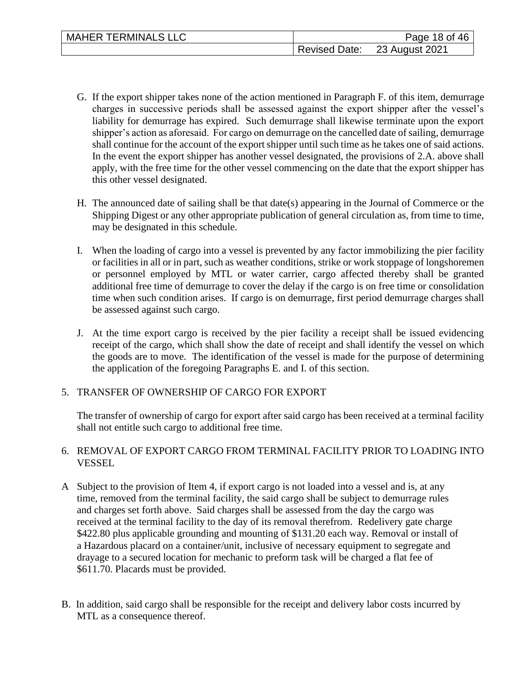- G. If the export shipper takes none of the action mentioned in Paragraph F. of this item, demurrage charges in successive periods shall be assessed against the export shipper after the vessel's liability for demurrage has expired. Such demurrage shall likewise terminate upon the export shipper's action as aforesaid. For cargo on demurrage on the cancelled date of sailing, demurrage shall continue for the account of the export shipper until such time as he takes one of said actions. In the event the export shipper has another vessel designated, the provisions of 2.A. above shall apply, with the free time for the other vessel commencing on the date that the export shipper has this other vessel designated.
- H. The announced date of sailing shall be that date(s) appearing in the Journal of Commerce or the Shipping Digest or any other appropriate publication of general circulation as, from time to time, may be designated in this schedule.
- I. When the loading of cargo into a vessel is prevented by any factor immobilizing the pier facility or facilities in all or in part, such as weather conditions, strike or work stoppage of longshoremen or personnel employed by MTL or water carrier, cargo affected thereby shall be granted additional free time of demurrage to cover the delay if the cargo is on free time or consolidation time when such condition arises. If cargo is on demurrage, first period demurrage charges shall be assessed against such cargo.
- J. At the time export cargo is received by the pier facility a receipt shall be issued evidencing receipt of the cargo, which shall show the date of receipt and shall identify the vessel on which the goods are to move. The identification of the vessel is made for the purpose of determining the application of the foregoing Paragraphs E. and I. of this section.

## 5. TRANSFER OF OWNERSHIP OF CARGO FOR EXPORT

The transfer of ownership of cargo for export after said cargo has been received at a terminal facility shall not entitle such cargo to additional free time.

## 6. REMOVAL OF EXPORT CARGO FROM TERMINAL FACILITY PRIOR TO LOADING INTO VESSEL

- A Subject to the provision of Item 4, if export cargo is not loaded into a vessel and is, at any time, removed from the terminal facility, the said cargo shall be subject to demurrage rules and charges set forth above. Said charges shall be assessed from the day the cargo was received at the terminal facility to the day of its removal therefrom. Redelivery gate charge \$422.80 plus applicable grounding and mounting of \$131.20 each way. Removal or install of a Hazardous placard on a container/unit, inclusive of necessary equipment to segregate and drayage to a secured location for mechanic to preform task will be charged a flat fee of \$611.70. Placards must be provided.
- B. In addition, said cargo shall be responsible for the receipt and delivery labor costs incurred by MTL as a consequence thereof.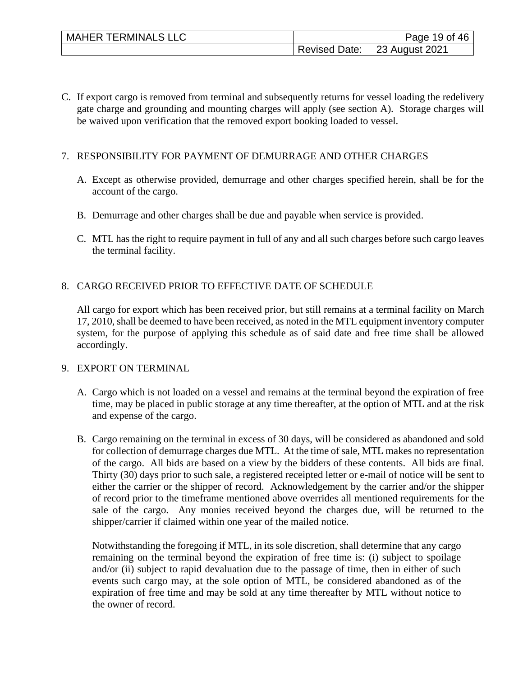C. If export cargo is removed from terminal and subsequently returns for vessel loading the redelivery gate charge and grounding and mounting charges will apply (see section A). Storage charges will be waived upon verification that the removed export booking loaded to vessel.

## 7. RESPONSIBILITY FOR PAYMENT OF DEMURRAGE AND OTHER CHARGES

- A. Except as otherwise provided, demurrage and other charges specified herein, shall be for the account of the cargo.
- B. Demurrage and other charges shall be due and payable when service is provided.
- C. MTL has the right to require payment in full of any and all such charges before such cargo leaves the terminal facility.

## 8. CARGO RECEIVED PRIOR TO EFFECTIVE DATE OF SCHEDULE

All cargo for export which has been received prior, but still remains at a terminal facility on March 17, 2010, shall be deemed to have been received, as noted in the MTL equipment inventory computer system, for the purpose of applying this schedule as of said date and free time shall be allowed accordingly.

## 9. EXPORT ON TERMINAL

- A. Cargo which is not loaded on a vessel and remains at the terminal beyond the expiration of free time, may be placed in public storage at any time thereafter, at the option of MTL and at the risk and expense of the cargo.
- B. Cargo remaining on the terminal in excess of 30 days, will be considered as abandoned and sold for collection of demurrage charges due MTL. At the time of sale, MTL makes no representation of the cargo. All bids are based on a view by the bidders of these contents. All bids are final. Thirty (30) days prior to such sale, a registered receipted letter or e-mail of notice will be sent to either the carrier or the shipper of record. Acknowledgement by the carrier and/or the shipper of record prior to the timeframe mentioned above overrides all mentioned requirements for the sale of the cargo. Any monies received beyond the charges due, will be returned to the shipper/carrier if claimed within one year of the mailed notice.

Notwithstanding the foregoing if MTL, in its sole discretion, shall determine that any cargo remaining on the terminal beyond the expiration of free time is: (i) subject to spoilage and/or (ii) subject to rapid devaluation due to the passage of time, then in either of such events such cargo may, at the sole option of MTL, be considered abandoned as of the expiration of free time and may be sold at any time thereafter by MTL without notice to the owner of record.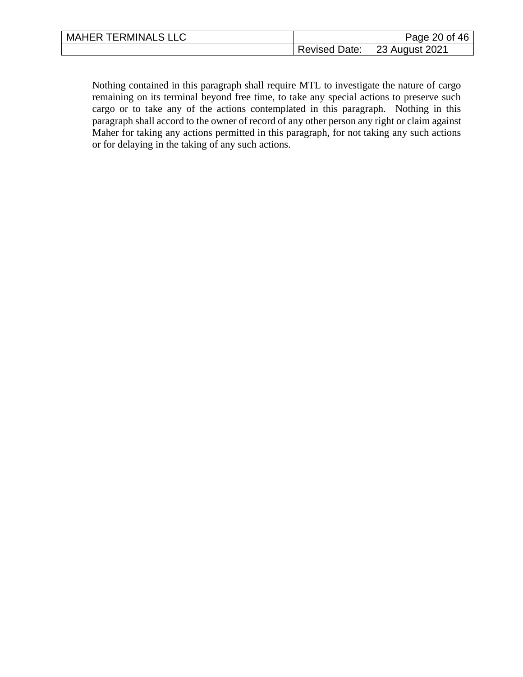| <b>MAHER TERMINALS LLC</b> |               | Page 20 of 46  |
|----------------------------|---------------|----------------|
|                            | Revised Date: | 23 August 2021 |

 $\mathsf{l}$ 

Nothing contained in this paragraph shall require MTL to investigate the nature of cargo remaining on its terminal beyond free time, to take any special actions to preserve such cargo or to take any of the actions contemplated in this paragraph. Nothing in this paragraph shall accord to the owner of record of any other person any right or claim against Maher for taking any actions permitted in this paragraph, for not taking any such actions or for delaying in the taking of any such actions.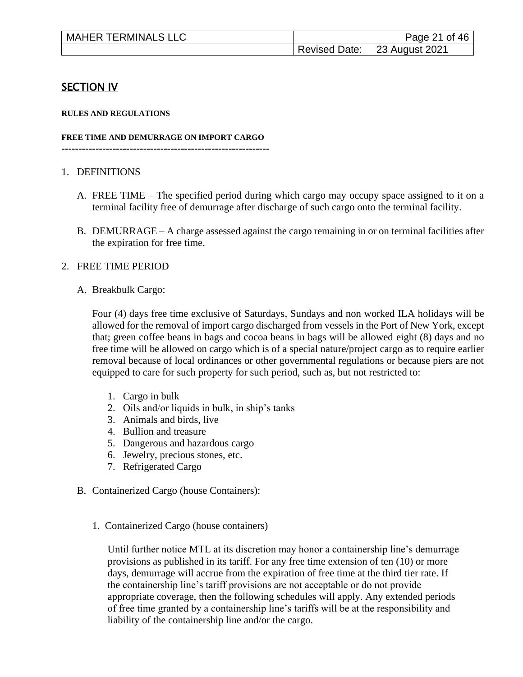| <b>MAHER TERMINALS LLC</b> |               | Page 21 of 46  |
|----------------------------|---------------|----------------|
|                            | Revised Date: | 23 August 2021 |

# **SECTION IV**

#### **RULES AND REGULATIONS**

#### **FREE TIME AND DEMURRAGE ON IMPORT CARGO**

**-------------------------------------------------------------**

#### 1. DEFINITIONS

- A. FREE TIME The specified period during which cargo may occupy space assigned to it on a terminal facility free of demurrage after discharge of such cargo onto the terminal facility.
- B. DEMURRAGE A charge assessed against the cargo remaining in or on terminal facilities after the expiration for free time.

#### 2. FREE TIME PERIOD

A. Breakbulk Cargo:

Four (4) days free time exclusive of Saturdays, Sundays and non worked ILA holidays will be allowed for the removal of import cargo discharged from vessels in the Port of New York, except that; green coffee beans in bags and cocoa beans in bags will be allowed eight (8) days and no free time will be allowed on cargo which is of a special nature/project cargo as to require earlier removal because of local ordinances or other governmental regulations or because piers are not equipped to care for such property for such period, such as, but not restricted to:

- 1. Cargo in bulk
- 2. Oils and/or liquids in bulk, in ship's tanks
- 3. Animals and birds, live
- 4. Bullion and treasure
- 5. Dangerous and hazardous cargo
- 6. Jewelry, precious stones, etc.
- 7. Refrigerated Cargo
- B. Containerized Cargo (house Containers):
	- 1. Containerized Cargo (house containers)

 Until further notice MTL at its discretion may honor a containership line's demurrage provisions as published in its tariff. For any free time extension of ten (10) or more days, demurrage will accrue from the expiration of free time at the third tier rate. If the containership line's tariff provisions are not acceptable or do not provide appropriate coverage, then the following schedules will apply. Any extended periods of free time granted by a containership line's tariffs will be at the responsibility and liability of the containership line and/or the cargo.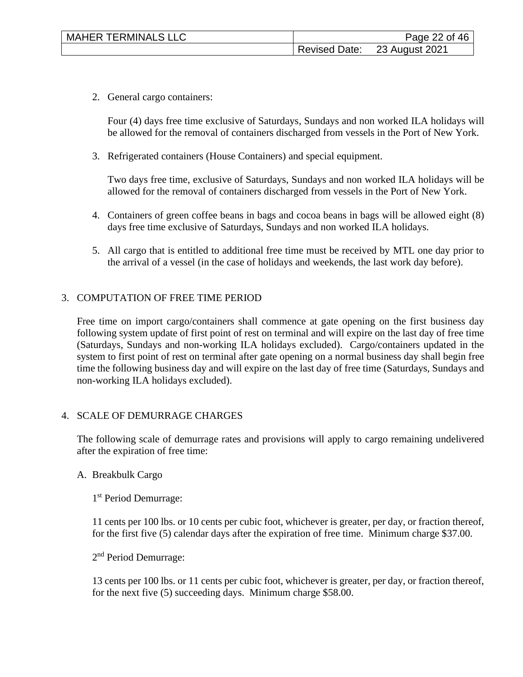2. General cargo containers:

Four (4) days free time exclusive of Saturdays, Sundays and non worked ILA holidays will be allowed for the removal of containers discharged from vessels in the Port of New York.

3. Refrigerated containers (House Containers) and special equipment.

Two days free time, exclusive of Saturdays, Sundays and non worked ILA holidays will be allowed for the removal of containers discharged from vessels in the Port of New York.

- 4. Containers of green coffee beans in bags and cocoa beans in bags will be allowed eight (8) days free time exclusive of Saturdays, Sundays and non worked ILA holidays.
- 5. All cargo that is entitled to additional free time must be received by MTL one day prior to the arrival of a vessel (in the case of holidays and weekends, the last work day before).

#### 3. COMPUTATION OF FREE TIME PERIOD

Free time on import cargo/containers shall commence at gate opening on the first business day following system update of first point of rest on terminal and will expire on the last day of free time (Saturdays, Sundays and non-working ILA holidays excluded). Cargo/containers updated in the system to first point of rest on terminal after gate opening on a normal business day shall begin free time the following business day and will expire on the last day of free time (Saturdays, Sundays and non-working ILA holidays excluded).

#### 4. SCALE OF DEMURRAGE CHARGES

The following scale of demurrage rates and provisions will apply to cargo remaining undelivered after the expiration of free time:

#### A. Breakbulk Cargo

1 st Period Demurrage:

11 cents per 100 lbs. or 10 cents per cubic foot, whichever is greater, per day, or fraction thereof, for the first five (5) calendar days after the expiration of free time. Minimum charge \$37.00.

2<sup>nd</sup> Period Demurrage:

13 cents per 100 lbs. or 11 cents per cubic foot, whichever is greater, per day, or fraction thereof, for the next five (5) succeeding days. Minimum charge \$58.00.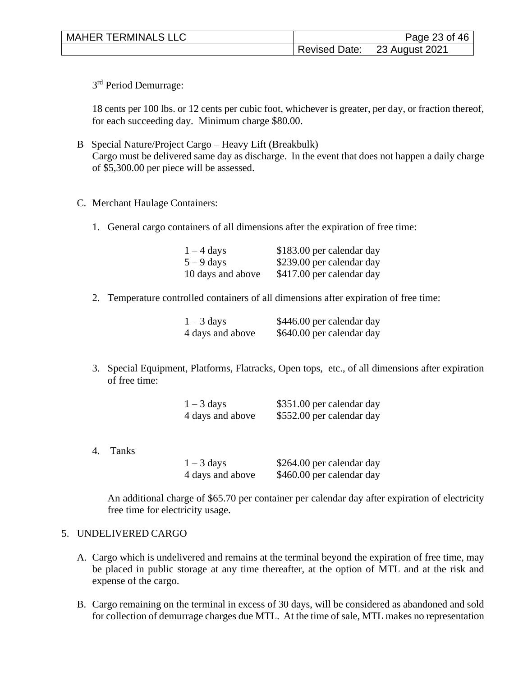| <b>MAHER TERMINALS LLC</b> |                      | Page 23 of 46  |
|----------------------------|----------------------|----------------|
|                            | <b>Revised Date:</b> | 23 August 2021 |

3<sup>rd</sup> Period Demurrage:

18 cents per 100 lbs. or 12 cents per cubic foot, whichever is greater, per day, or fraction thereof, for each succeeding day. Minimum charge \$80.00.

- B Special Nature/Project Cargo Heavy Lift (Breakbulk) Cargo must be delivered same day as discharge. In the event that does not happen a daily charge of \$5,300.00 per piece will be assessed.
- C. Merchant Haulage Containers:
	- 1. General cargo containers of all dimensions after the expiration of free time:

| $1 - 4$ days      | \$183.00 per calendar day |
|-------------------|---------------------------|
| $5 - 9$ days      | \$239.00 per calendar day |
| 10 days and above | \$417.00 per calendar day |

2. Temperature controlled containers of all dimensions after expiration of free time:

| $1 - 3$ days     | \$446.00 per calendar day |
|------------------|---------------------------|
| 4 days and above | \$640.00 per calendar day |

3. Special Equipment, Platforms, Flatracks, Open tops, etc., of all dimensions after expiration of free time:

| $1 - 3$ days     | \$351.00 per calendar day |
|------------------|---------------------------|
| 4 days and above | \$552.00 per calendar day |

4. Tanks

| $1 - 3$ days     | \$264.00 per calendar day |
|------------------|---------------------------|
| 4 days and above | \$460.00 per calendar day |

An additional charge of \$65.70 per container per calendar day after expiration of electricity free time for electricity usage.

#### 5. UNDELIVERED CARGO

- A. Cargo which is undelivered and remains at the terminal beyond the expiration of free time, may be placed in public storage at any time thereafter, at the option of MTL and at the risk and expense of the cargo.
- B. Cargo remaining on the terminal in excess of 30 days, will be considered as abandoned and sold for collection of demurrage charges due MTL. At the time of sale, MTL makes no representation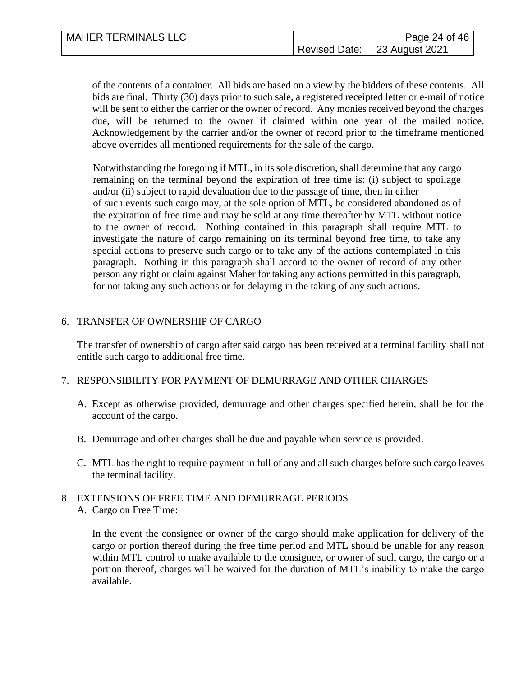| <b>MAHER TERMINALS LLC</b> |                      | Page 24 of 46  |
|----------------------------|----------------------|----------------|
|                            | <b>Revised Date:</b> | 23 August 2021 |

of the contents of a container. All bids are based on a view by the bidders of these contents. All bids are final. Thirty (30) days prior to such sale, a registered receipted letter or e-mail of notice will be sent to either the carrier or the owner of record. Any monies received beyond the charges due, will be returned to the owner if claimed within one year of the mailed notice. Acknowledgement by the carrier and/or the owner of record prior to the timeframe mentioned above overrides all mentioned requirements for the sale of the cargo.

Notwithstanding the foregoing if MTL, in its sole discretion, shall determine that any cargo remaining on the terminal beyond the expiration of free time is: (i) subject to spoilage and/or (ii) subject to rapid devaluation due to the passage of time, then in either of such events such cargo may, at the sole option of MTL, be considered abandoned as of the expiration of free time and may be sold at any time thereafter by MTL without notice to the owner of record. Nothing contained in this paragraph shall require MTL to investigate the nature of cargo remaining on its terminal beyond free time, to take any special actions to preserve such cargo or to take any of the actions contemplated in this paragraph. Nothing in this paragraph shall accord to the owner of record of any other person any right or claim against Maher for taking any actions permitted in this paragraph, for not taking any such actions or for delaying in the taking of any such actions.

#### 6. TRANSFER OF OWNERSHIP OF CARGO

The transfer of ownership of cargo after said cargo has been received at a terminal facility shall not entitle such cargo to additional free time.

#### 7. RESPONSIBILITY FOR PAYMENT OF DEMURRAGE AND OTHER CHARGES

- A. Except as otherwise provided, demurrage and other charges specified herein, shall be for the account of the cargo.
- B. Demurrage and other charges shall be due and payable when service is provided.
- C. MTL has the right to require payment in full of any and all such charges before such cargo leaves the terminal facility.

#### 8. EXTENSIONS OF FREE TIME AND DEMURRAGE PERIODS A. Cargo on Free Time:

In the event the consignee or owner of the cargo should make application for delivery of the cargo or portion thereof during the free time period and MTL should be unable for any reason within MTL control to make available to the consignee, or owner of such cargo, the cargo or a portion thereof, charges will be waived for the duration of MTL's inability to make the cargo available.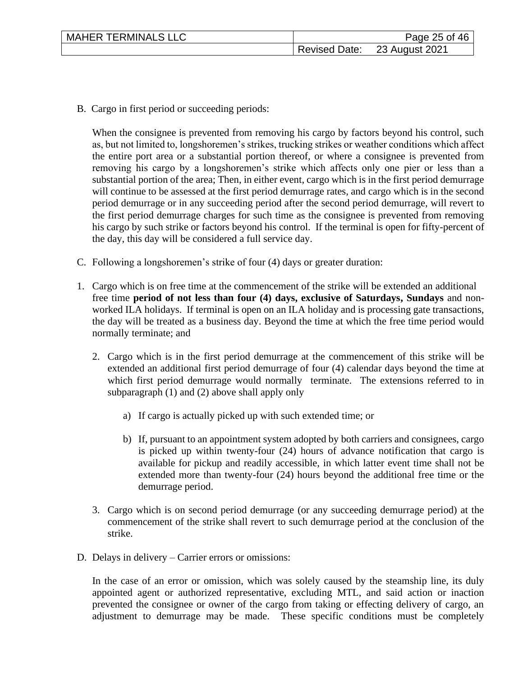| <b>MAHER TERMINALS LLC</b> |                      | Page 25 of 46  |
|----------------------------|----------------------|----------------|
|                            | <b>Revised Date:</b> | 23 August 2021 |

B. Cargo in first period or succeeding periods:

When the consignee is prevented from removing his cargo by factors beyond his control, such as, but not limited to, longshoremen's strikes, trucking strikes or weather conditions which affect the entire port area or a substantial portion thereof, or where a consignee is prevented from removing his cargo by a longshoremen's strike which affects only one pier or less than a substantial portion of the area; Then, in either event, cargo which is in the first period demurrage will continue to be assessed at the first period demurrage rates, and cargo which is in the second period demurrage or in any succeeding period after the second period demurrage, will revert to the first period demurrage charges for such time as the consignee is prevented from removing his cargo by such strike or factors beyond his control. If the terminal is open for fifty-percent of the day, this day will be considered a full service day.

- C. Following a longshoremen's strike of four (4) days or greater duration:
- 1. Cargo which is on free time at the commencement of the strike will be extended an additional free time **period of not less than four (4) days, exclusive of Saturdays, Sundays** and nonworked ILA holidays. If terminal is open on an ILA holiday and is processing gate transactions, the day will be treated as a business day. Beyond the time at which the free time period would normally terminate; and
	- 2. Cargo which is in the first period demurrage at the commencement of this strike will be extended an additional first period demurrage of four (4) calendar days beyond the time at which first period demurrage would normally terminate. The extensions referred to in subparagraph (1) and (2) above shall apply only
		- a) If cargo is actually picked up with such extended time; or
		- b) If, pursuant to an appointment system adopted by both carriers and consignees, cargo is picked up within twenty-four (24) hours of advance notification that cargo is available for pickup and readily accessible, in which latter event time shall not be extended more than twenty-four (24) hours beyond the additional free time or the demurrage period.
	- 3. Cargo which is on second period demurrage (or any succeeding demurrage period) at the commencement of the strike shall revert to such demurrage period at the conclusion of the strike.
- D. Delays in delivery Carrier errors or omissions:

In the case of an error or omission, which was solely caused by the steamship line, its duly appointed agent or authorized representative, excluding MTL, and said action or inaction prevented the consignee or owner of the cargo from taking or effecting delivery of cargo, an adjustment to demurrage may be made. These specific conditions must be completely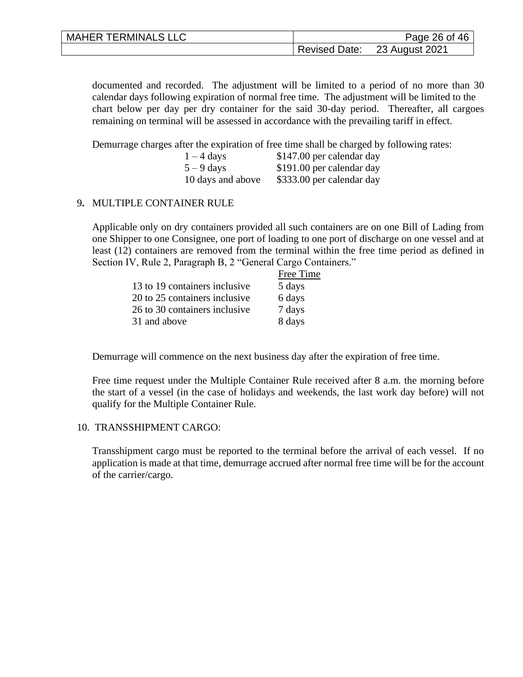| <b>MAHER TERMINALS LLC</b> |                      | Page 26 of 46  |
|----------------------------|----------------------|----------------|
|                            | <b>Revised Date:</b> | 23 August 2021 |

documented and recorded. The adjustment will be limited to a period of no more than 30 calendar days following expiration of normal free time. The adjustment will be limited to the chart below per day per dry container for the said 30-day period. Thereafter, all cargoes remaining on terminal will be assessed in accordance with the prevailing tariff in effect.

Demurrage charges after the expiration of free time shall be charged by following rates:

| $1 - 4$ days      | \$147.00 per calendar day |
|-------------------|---------------------------|
| $5 - 9$ days      | \$191.00 per calendar day |
| 10 days and above | \$333.00 per calendar day |

#### 9**.** MULTIPLE CONTAINER RULE

Applicable only on dry containers provided all such containers are on one Bill of Lading from one Shipper to one Consignee, one port of loading to one port of discharge on one vessel and at least (12) containers are removed from the terminal within the free time period as defined in Section IV, Rule 2, Paragraph B, 2 "General Cargo Containers."

|                               | Free Time |
|-------------------------------|-----------|
| 13 to 19 containers inclusive | 5 days    |
| 20 to 25 containers inclusive | 6 days    |
| 26 to 30 containers inclusive | 7 days    |
| 31 and above                  | 8 days    |

Demurrage will commence on the next business day after the expiration of free time.

Free time request under the Multiple Container Rule received after 8 a.m. the morning before the start of a vessel (in the case of holidays and weekends, the last work day before) will not qualify for the Multiple Container Rule.

#### 10. TRANSSHIPMENT CARGO:

Transshipment cargo must be reported to the terminal before the arrival of each vessel. If no application is made at that time, demurrage accrued after normal free time will be for the account of the carrier/cargo.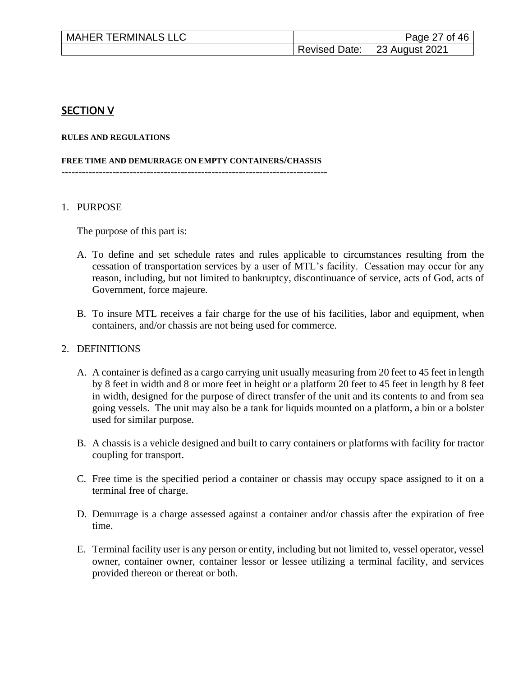| <b>MAHER TERMINALS LLC</b> |               | Page 27 of 46  |
|----------------------------|---------------|----------------|
|                            | Revised Date: | 23 August 2021 |

## SECTION V

#### **RULES AND REGULATIONS**

#### **FREE TIME AND DEMURRAGE ON EMPTY CONTAINERS/CHASSIS**

**------------------------------------------------------------------------------**

#### 1. PURPOSE

The purpose of this part is:

- A. To define and set schedule rates and rules applicable to circumstances resulting from the cessation of transportation services by a user of MTL's facility. Cessation may occur for any reason, including, but not limited to bankruptcy, discontinuance of service, acts of God, acts of Government, force majeure.
- B. To insure MTL receives a fair charge for the use of his facilities, labor and equipment, when containers, and/or chassis are not being used for commerce.

#### 2. DEFINITIONS

- A. A container is defined as a cargo carrying unit usually measuring from 20 feet to 45 feet in length by 8 feet in width and 8 or more feet in height or a platform 20 feet to 45 feet in length by 8 feet in width, designed for the purpose of direct transfer of the unit and its contents to and from sea going vessels. The unit may also be a tank for liquids mounted on a platform, a bin or a bolster used for similar purpose.
- B. A chassis is a vehicle designed and built to carry containers or platforms with facility for tractor coupling for transport.
- C. Free time is the specified period a container or chassis may occupy space assigned to it on a terminal free of charge.
- D. Demurrage is a charge assessed against a container and/or chassis after the expiration of free time.
- E. Terminal facility user is any person or entity, including but not limited to, vessel operator, vessel owner, container owner, container lessor or lessee utilizing a terminal facility, and services provided thereon or thereat or both.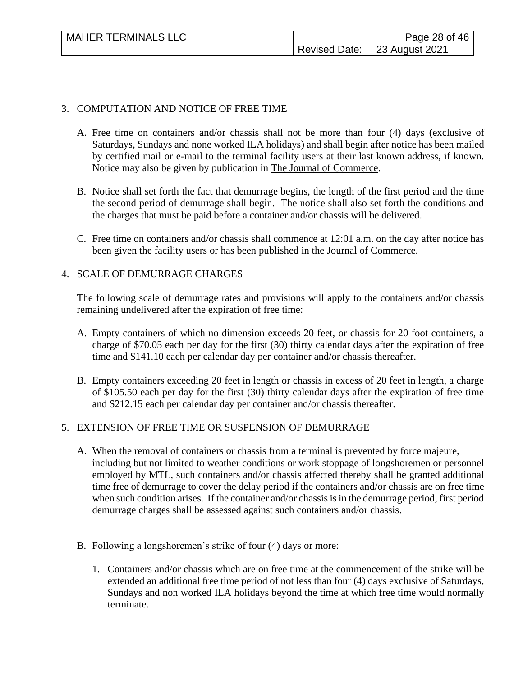| <b>MAHER TERMINALS LLC</b> | Page 28 of 46 |                              |
|----------------------------|---------------|------------------------------|
|                            |               | Revised Date: 23 August 2021 |

## 3. COMPUTATION AND NOTICE OF FREE TIME

- A. Free time on containers and/or chassis shall not be more than four (4) days (exclusive of Saturdays, Sundays and none worked ILA holidays) and shall begin after notice has been mailed by certified mail or e-mail to the terminal facility users at their last known address, if known. Notice may also be given by publication in The Journal of Commerce.
- B. Notice shall set forth the fact that demurrage begins, the length of the first period and the time the second period of demurrage shall begin. The notice shall also set forth the conditions and the charges that must be paid before a container and/or chassis will be delivered.
- C. Free time on containers and/or chassis shall commence at 12:01 a.m. on the day after notice has been given the facility users or has been published in the Journal of Commerce.

## 4. SCALE OF DEMURRAGE CHARGES

The following scale of demurrage rates and provisions will apply to the containers and/or chassis remaining undelivered after the expiration of free time:

- A. Empty containers of which no dimension exceeds 20 feet, or chassis for 20 foot containers, a charge of \$70.05 each per day for the first (30) thirty calendar days after the expiration of free time and \$141.10 each per calendar day per container and/or chassis thereafter.
- B. Empty containers exceeding 20 feet in length or chassis in excess of 20 feet in length, a charge of \$105.50 each per day for the first (30) thirty calendar days after the expiration of free time and \$212.15 each per calendar day per container and/or chassis thereafter.

## 5. EXTENSION OF FREE TIME OR SUSPENSION OF DEMURRAGE

- A. When the removal of containers or chassis from a terminal is prevented by force majeure, including but not limited to weather conditions or work stoppage of longshoremen or personnel employed by MTL, such containers and/or chassis affected thereby shall be granted additional time free of demurrage to cover the delay period if the containers and/or chassis are on free time when such condition arises. If the container and/or chassis is in the demurrage period, first period demurrage charges shall be assessed against such containers and/or chassis.
- B. Following a longshoremen's strike of four (4) days or more:
	- 1. Containers and/or chassis which are on free time at the commencement of the strike will be extended an additional free time period of not less than four (4) days exclusive of Saturdays, Sundays and non worked ILA holidays beyond the time at which free time would normally terminate.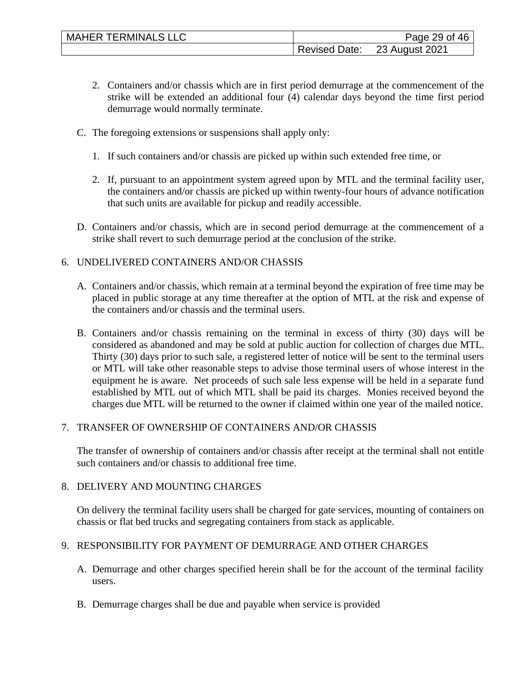- 2. Containers and/or chassis which are in first period demurrage at the commencement of the strike will be extended an additional four (4) calendar days beyond the time first period demurrage would normally terminate.
- C. The foregoing extensions or suspensions shall apply only:
	- 1. If such containers and/or chassis are picked up within such extended free time, or
	- 2. If, pursuant to an appointment system agreed upon by MTL and the terminal facility user, the containers and/or chassis are picked up within twenty-four hours of advance notification that such units are available for pickup and readily accessible.
- D. Containers and/or chassis, which are in second period demurrage at the commencement of a strike shall revert to such demurrage period at the conclusion of the strike.

## 6. UNDELIVERED CONTAINERS AND/OR CHASSIS

- A. Containers and/or chassis, which remain at a terminal beyond the expiration of free time may be placed in public storage at any time thereafter at the option of MTL at the risk and expense of the containers and/or chassis and the terminal users.
- B. Containers and/or chassis remaining on the terminal in excess of thirty (30) days will be considered as abandoned and may be sold at public auction for collection of charges due MTL. Thirty (30) days prior to such sale, a registered letter of notice will be sent to the terminal users or MTL will take other reasonable steps to advise those terminal users of whose interest in the equipment he is aware. Net proceeds of such sale less expense will be held in a separate fund established by MTL out of which MTL shall be paid its charges. Monies received beyond the charges due MTL will be returned to the owner if claimed within one year of the mailed notice.

## 7. TRANSFER OF OWNERSHIP OF CONTAINERS AND/OR CHASSIS

The transfer of ownership of containers and/or chassis after receipt at the terminal shall not entitle such containers and/or chassis to additional free time.

## 8. DELIVERY AND MOUNTING CHARGES

On delivery the terminal facility users shall be charged for gate services, mounting of containers on chassis or flat bed trucks and segregating containers from stack as applicable.

# 9. RESPONSIBILITY FOR PAYMENT OF DEMURRAGE AND OTHER CHARGES

- A. Demurrage and other charges specified herein shall be for the account of the terminal facility users.
- B. Demurrage charges shall be due and payable when service is provided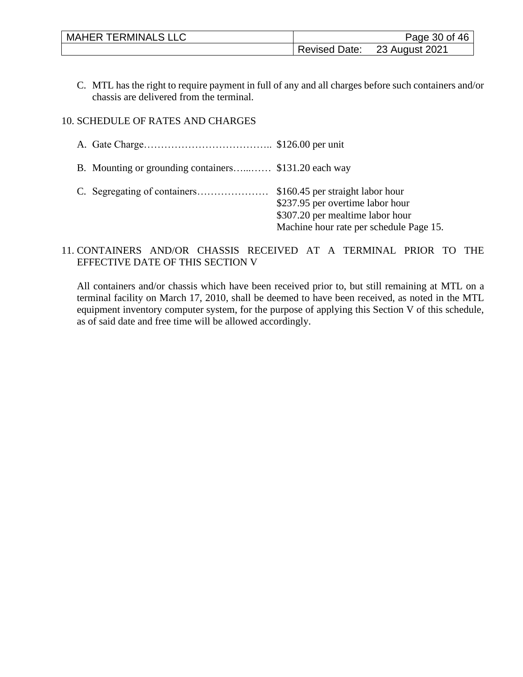| <b>MAHER TERMINALS LLC</b> | Page 30 of 46        |                |
|----------------------------|----------------------|----------------|
|                            | <b>Revised Date:</b> | 23 August 2021 |

C. MTL has the right to require payment in full of any and all charges before such containers and/or chassis are delivered from the terminal.

## 10. SCHEDULE OF RATES AND CHARGES

| B. Mounting or grounding containers \$131.20 each way |                                                                                                                 |
|-------------------------------------------------------|-----------------------------------------------------------------------------------------------------------------|
|                                                       | \$237.95 per overtime labor hour<br>\$307.20 per mealtime labor hour<br>Machine hour rate per schedule Page 15. |

## 11. CONTAINERS AND/OR CHASSIS RECEIVED AT A TERMINAL PRIOR TO THE EFFECTIVE DATE OF THIS SECTION V

All containers and/or chassis which have been received prior to, but still remaining at MTL on a terminal facility on March 17, 2010, shall be deemed to have been received, as noted in the MTL equipment inventory computer system, for the purpose of applying this Section V of this schedule, as of said date and free time will be allowed accordingly.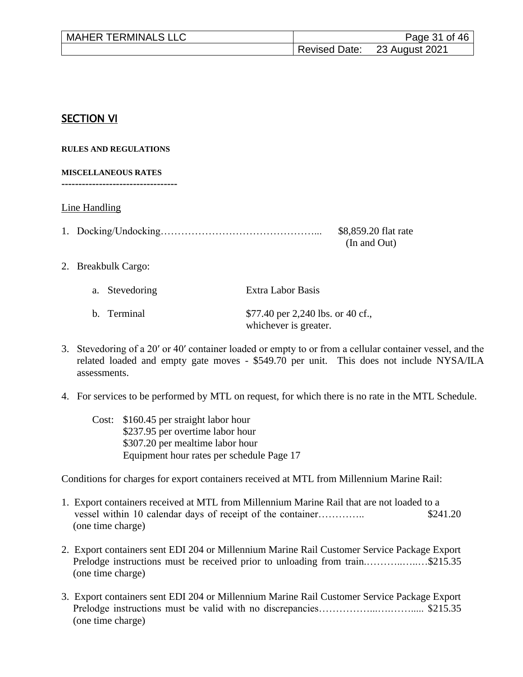| <b>MAHER TERMINALS LLC</b> | Page 31 of 46 |                              |
|----------------------------|---------------|------------------------------|
|                            |               | Revised Date: 23 August 2021 |

# SECTION VI

**RULES AND REGULATIONS**

**MISCELLANEOUS RATES**

**----------------------------------**

Line Handling

|  | \$8,859.20 flat rate |
|--|----------------------|
|  | (In and Out)         |

2. Breakbulk Cargo:

| a. Stevedoring | Extra Labor Basis                                          |
|----------------|------------------------------------------------------------|
| b. Terminal    | \$77.40 per 2,240 lbs. or 40 cf.,<br>whichever is greater. |

- 3. Stevedoring of a 20′ or 40′ container loaded or empty to or from a cellular container vessel, and the related loaded and empty gate moves - \$549.70 per unit. This does not include NYSA/ILA assessments.
- 4. For services to be performed by MTL on request, for which there is no rate in the MTL Schedule.
	- Cost: \$160.45 per straight labor hour \$237.95 per overtime labor hour \$307.20 per mealtime labor hour Equipment hour rates per schedule Page 17

Conditions for charges for export containers received at MTL from Millennium Marine Rail:

- 1. Export containers received at MTL from Millennium Marine Rail that are not loaded to a vessel within 10 calendar days of receipt of the container………….. \$241.20 (one time charge)
- 2. Export containers sent EDI 204 or Millennium Marine Rail Customer Service Package Export Prelodge instructions must be received prior to unloading from train...................\$215.35 (one time charge)
- 3. Export containers sent EDI 204 or Millennium Marine Rail Customer Service Package Export Prelodge instructions must be valid with no discrepancies……………...….……..... \$215.35 (one time charge)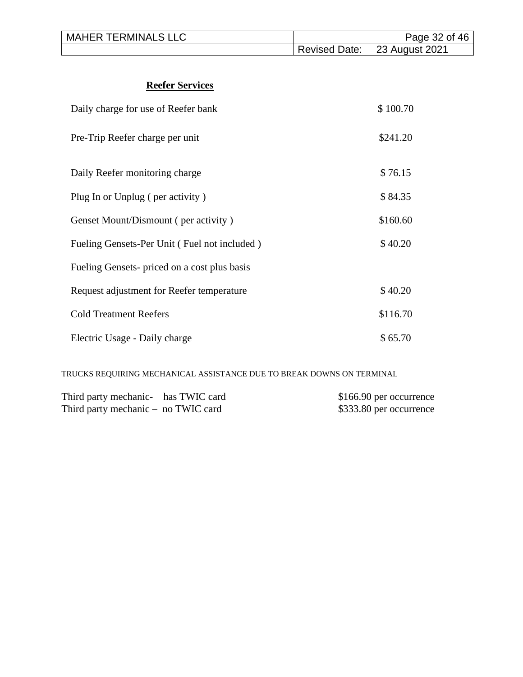| <b>MAHER TERMINALS LLC</b> |                              | Page 32 of 46 |
|----------------------------|------------------------------|---------------|
|                            | Revised Date: 23 August 2021 |               |

# **Reefer Services**

| Daily charge for use of Reefer bank          | \$100.70 |
|----------------------------------------------|----------|
| Pre-Trip Reefer charge per unit              | \$241.20 |
| Daily Reefer monitoring charge               | \$76.15  |
| Plug In or Unplug (per activity)             | \$84.35  |
| Genset Mount/Dismount (per activity)         | \$160.60 |
| Fueling Gensets-Per Unit (Fuel not included) | \$40.20  |
| Fueling Gensets- priced on a cost plus basis |          |
| Request adjustment for Reefer temperature    | \$40.20  |
| <b>Cold Treatment Reefers</b>                | \$116.70 |
| Electric Usage - Daily charge                | \$65.70  |

TRUCKS REQUIRING MECHANICAL ASSISTANCE DUE TO BREAK DOWNS ON TERMINAL

| Third party mechanic- has TWIC card   |  | \$166.90 per occurrence |
|---------------------------------------|--|-------------------------|
| Third party mechanic $-$ no TWIC card |  | \$333.80 per occurrence |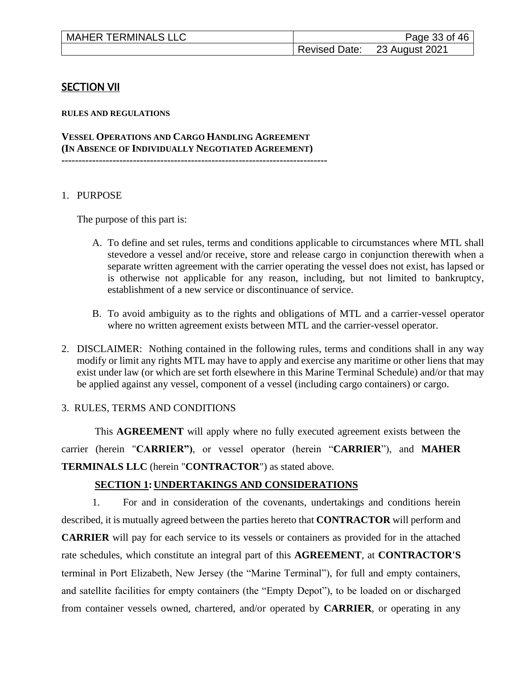| <b>MAHER TERMINALS LLC</b> |               | Page 33 of 46  |
|----------------------------|---------------|----------------|
|                            | Revised Date: | 23 August 2021 |

#### **SECTION VII**

**RULES AND REGULATIONS**

**VESSEL OPERATIONS AND CARGO HANDLING AGREEMENT (IN ABSENCE OF INDIVIDUALLY NEGOTIATED AGREEMENT) ------------------------------------------------------------------------------**

#### 1. PURPOSE

The purpose of this part is:

- A. To define and set rules, terms and conditions applicable to circumstances where MTL shall stevedore a vessel and/or receive, store and release cargo in conjunction therewith when a separate written agreement with the carrier operating the vessel does not exist, has lapsed or is otherwise not applicable for any reason, including, but not limited to bankruptcy, establishment of a new service or discontinuance of service.
- B. To avoid ambiguity as to the rights and obligations of MTL and a carrier-vessel operator where no written agreement exists between MTL and the carrier-vessel operator.
- 2. DISCLAIMER: Nothing contained in the following rules, terms and conditions shall in any way modify or limit any rights MTL may have to apply and exercise any maritime or other liens that may exist under law (or which are set forth elsewhere in this Marine Terminal Schedule) and/or that may be applied against any vessel, component of a vessel (including cargo containers) or cargo.

#### 3. RULES, TERMS AND CONDITIONS

This **AGREEMENT** will apply where no fully executed agreement exists between the carrier (herein "**CARRIER")**, or vessel operator (herein "**CARRIER**"), and **MAHER TERMINALS LLC** (herein "**CONTRACTOR**") as stated above.

#### **SECTION 1: UNDERTAKINGS AND CONSIDERATIONS**

1. For and in consideration of the covenants, undertakings and conditions herein described, it is mutually agreed between the parties hereto that **CONTRACTOR** will perform and **CARRIER** will pay for each service to its vessels or containers as provided for in the attached rate schedules, which constitute an integral part of this **AGREEMENT**, at **CONTRACTOR'S** terminal in Port Elizabeth, New Jersey (the "Marine Terminal"), for full and empty containers, and satellite facilities for empty containers (the "Empty Depot"), to be loaded on or discharged from container vessels owned, chartered, and/or operated by **CARRIER**, or operating in any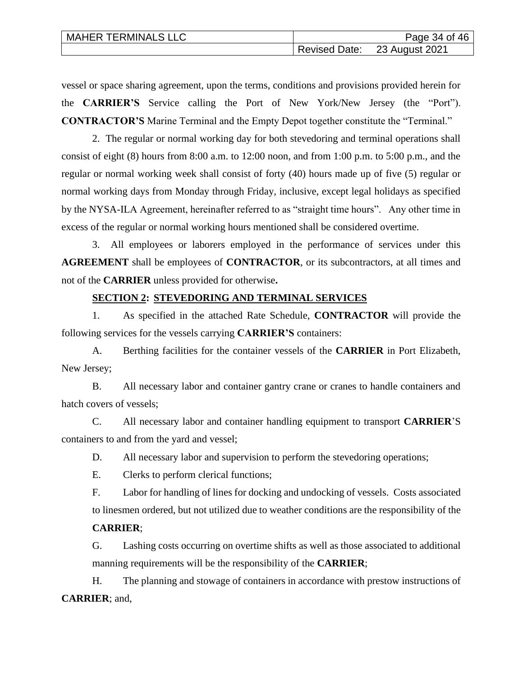| <b>MAHER TERMINALS LLC</b> | Page 34 of 46                |
|----------------------------|------------------------------|
|                            | Revised Date: 23 August 2021 |

vessel or space sharing agreement, upon the terms, conditions and provisions provided herein for the **CARRIER'S** Service calling the Port of New York/New Jersey (the "Port"). **CONTRACTOR'S** Marine Terminal and the Empty Depot together constitute the "Terminal."

2. The regular or normal working day for both stevedoring and terminal operations shall consist of eight (8) hours from 8:00 a.m. to 12:00 noon, and from 1:00 p.m. to 5:00 p.m., and the regular or normal working week shall consist of forty (40) hours made up of five (5) regular or normal working days from Monday through Friday, inclusive, except legal holidays as specified by the NYSA-ILA Agreement, hereinafter referred to as "straight time hours". Any other time in excess of the regular or normal working hours mentioned shall be considered overtime.

3. All employees or laborers employed in the performance of services under this **AGREEMENT** shall be employees of **CONTRACTOR**, or its subcontractors, at all times and not of the **CARRIER** unless provided for otherwise**.**

## **SECTION 2: STEVEDORING AND TERMINAL SERVICES**

1. As specified in the attached Rate Schedule, **CONTRACTOR** will provide the following services for the vessels carrying **CARRIER'S** containers:

A. Berthing facilities for the container vessels of the **CARRIER** in Port Elizabeth, New Jersey;

B. All necessary labor and container gantry crane or cranes to handle containers and hatch covers of vessels;

C. All necessary labor and container handling equipment to transport **CARRIER**'S containers to and from the yard and vessel;

D. All necessary labor and supervision to perform the stevedoring operations;

E. Clerks to perform clerical functions;

F. Labor for handling of lines for docking and undocking of vessels. Costs associated to linesmen ordered, but not utilized due to weather conditions are the responsibility of the

#### **CARRIER**;

G. Lashing costs occurring on overtime shifts as well as those associated to additional manning requirements will be the responsibility of the **CARRIER**;

H. The planning and stowage of containers in accordance with prestow instructions of **CARRIER**; and,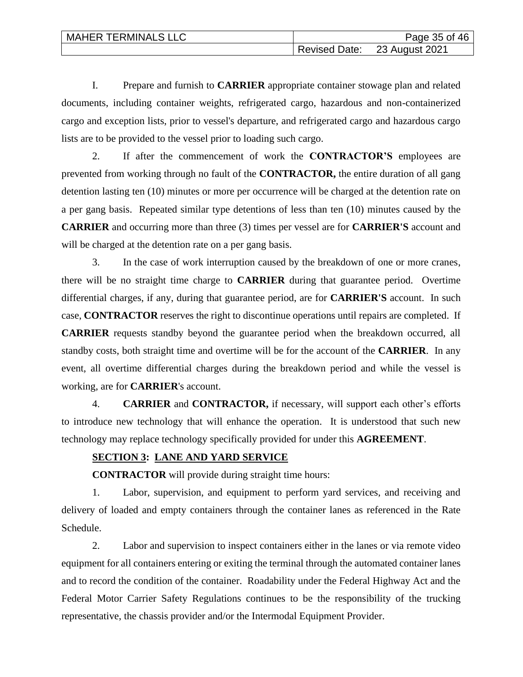| <b>MAHER TERMINALS LLC</b> | Page 35 of 46                |
|----------------------------|------------------------------|
|                            | Revised Date: 23 August 2021 |

I. Prepare and furnish to **CARRIER** appropriate container stowage plan and related documents, including container weights, refrigerated cargo, hazardous and non-containerized cargo and exception lists, prior to vessel's departure, and refrigerated cargo and hazardous cargo lists are to be provided to the vessel prior to loading such cargo.

2. If after the commencement of work the **CONTRACTOR'S** employees are prevented from working through no fault of the **CONTRACTOR,** the entire duration of all gang detention lasting ten (10) minutes or more per occurrence will be charged at the detention rate on a per gang basis. Repeated similar type detentions of less than ten (10) minutes caused by the **CARRIER** and occurring more than three (3) times per vessel are for **CARRIER'S** account and will be charged at the detention rate on a per gang basis.

3. In the case of work interruption caused by the breakdown of one or more cranes, there will be no straight time charge to **CARRIER** during that guarantee period. Overtime differential charges, if any, during that guarantee period, are for **CARRIER'S** account. In such case, **CONTRACTOR** reserves the right to discontinue operations until repairs are completed. If **CARRIER** requests standby beyond the guarantee period when the breakdown occurred, all standby costs, both straight time and overtime will be for the account of the **CARRIER**. In any event, all overtime differential charges during the breakdown period and while the vessel is working, are for **CARRIER**'s account.

4. **CARRIER** and **CONTRACTOR,** if necessary, will support each other's efforts to introduce new technology that will enhance the operation. It is understood that such new technology may replace technology specifically provided for under this **AGREEMENT**.

#### **SECTION 3: LANE AND YARD SERVICE**

**CONTRACTOR** will provide during straight time hours:

1. Labor, supervision, and equipment to perform yard services, and receiving and delivery of loaded and empty containers through the container lanes as referenced in the Rate Schedule.

2. Labor and supervision to inspect containers either in the lanes or via remote video equipment for all containers entering or exiting the terminal through the automated container lanes and to record the condition of the container. Roadability under the Federal Highway Act and the Federal Motor Carrier Safety Regulations continues to be the responsibility of the trucking representative, the chassis provider and/or the Intermodal Equipment Provider.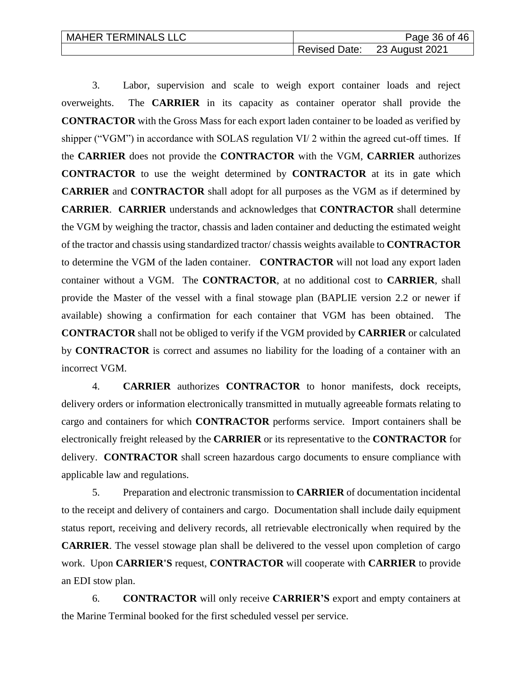| <b>MAHER TERMINALS LLC</b> |                      | Page 36 of 46  |
|----------------------------|----------------------|----------------|
|                            | <b>Revised Date:</b> | 23 August 2021 |

3. Labor, supervision and scale to weigh export container loads and reject overweights. The **CARRIER** in its capacity as container operator shall provide the **CONTRACTOR** with the Gross Mass for each export laden container to be loaded as verified by shipper ("VGM") in accordance with SOLAS regulation VI/ 2 within the agreed cut-off times. If the **CARRIER** does not provide the **CONTRACTOR** with the VGM, **CARRIER** authorizes **CONTRACTOR** to use the weight determined by **CONTRACTOR** at its in gate which **CARRIER** and **CONTRACTOR** shall adopt for all purposes as the VGM as if determined by **CARRIER**. **CARRIER** understands and acknowledges that **CONTRACTOR** shall determine the VGM by weighing the tractor, chassis and laden container and deducting the estimated weight of the tractor and chassis using standardized tractor/ chassis weights available to **CONTRACTOR** to determine the VGM of the laden container. **CONTRACTOR** will not load any export laden container without a VGM. The **CONTRACTOR**, at no additional cost to **CARRIER**, shall provide the Master of the vessel with a final stowage plan (BAPLIE version 2.2 or newer if available) showing a confirmation for each container that VGM has been obtained. The **CONTRACTOR** shall not be obliged to verify if the VGM provided by **CARRIER** or calculated by **CONTRACTOR** is correct and assumes no liability for the loading of a container with an incorrect VGM.

4. **CARRIER** authorizes **CONTRACTOR** to honor manifests, dock receipts, delivery orders or information electronically transmitted in mutually agreeable formats relating to cargo and containers for which **CONTRACTOR** performs service. Import containers shall be electronically freight released by the **CARRIER** or its representative to the **CONTRACTOR** for delivery. **CONTRACTOR** shall screen hazardous cargo documents to ensure compliance with applicable law and regulations.

5. Preparation and electronic transmission to **CARRIER** of documentation incidental to the receipt and delivery of containers and cargo. Documentation shall include daily equipment status report, receiving and delivery records, all retrievable electronically when required by the **CARRIER**. The vessel stowage plan shall be delivered to the vessel upon completion of cargo work. Upon **CARRIER'S** request, **CONTRACTOR** will cooperate with **CARRIER** to provide an EDI stow plan.

6. **CONTRACTOR** will only receive **CARRIER'S** export and empty containers at the Marine Terminal booked for the first scheduled vessel per service.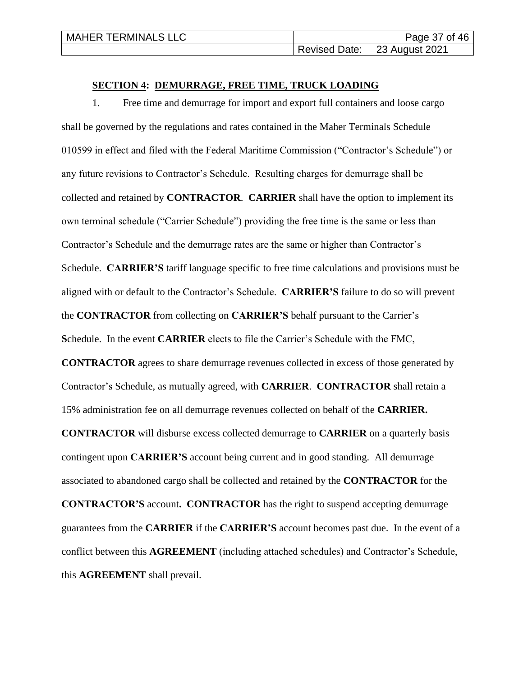| <b>MAHER TERMINALS LLC</b> | Page 37 of 46                |
|----------------------------|------------------------------|
|                            | Revised Date: 23 August 2021 |

#### **SECTION 4: DEMURRAGE, FREE TIME, TRUCK LOADING**

1. Free time and demurrage for import and export full containers and loose cargo shall be governed by the regulations and rates contained in the Maher Terminals Schedule 010599 in effect and filed with the Federal Maritime Commission ("Contractor's Schedule") or any future revisions to Contractor's Schedule. Resulting charges for demurrage shall be collected and retained by **CONTRACTOR**. **CARRIER** shall have the option to implement its own terminal schedule ("Carrier Schedule") providing the free time is the same or less than Contractor's Schedule and the demurrage rates are the same or higher than Contractor's Schedule. **CARRIER'S** tariff language specific to free time calculations and provisions must be aligned with or default to the Contractor's Schedule. **CARRIER'S** failure to do so will prevent the **CONTRACTOR** from collecting on **CARRIER'S** behalf pursuant to the Carrier's **S**chedule. In the event **CARRIER** elects to file the Carrier's Schedule with the FMC, **CONTRACTOR** agrees to share demurrage revenues collected in excess of those generated by Contractor's Schedule, as mutually agreed, with **CARRIER**. **CONTRACTOR** shall retain a 15% administration fee on all demurrage revenues collected on behalf of the **CARRIER. CONTRACTOR** will disburse excess collected demurrage to **CARRIER** on a quarterly basis contingent upon **CARRIER'S** account being current and in good standing. All demurrage associated to abandoned cargo shall be collected and retained by the **CONTRACTOR** for the **CONTRACTOR'S** account**. CONTRACTOR** has the right to suspend accepting demurrage guarantees from the **CARRIER** if the **CARRIER'S** account becomes past due. In the event of a conflict between this **AGREEMENT** (including attached schedules) and Contractor's Schedule, this **AGREEMENT** shall prevail.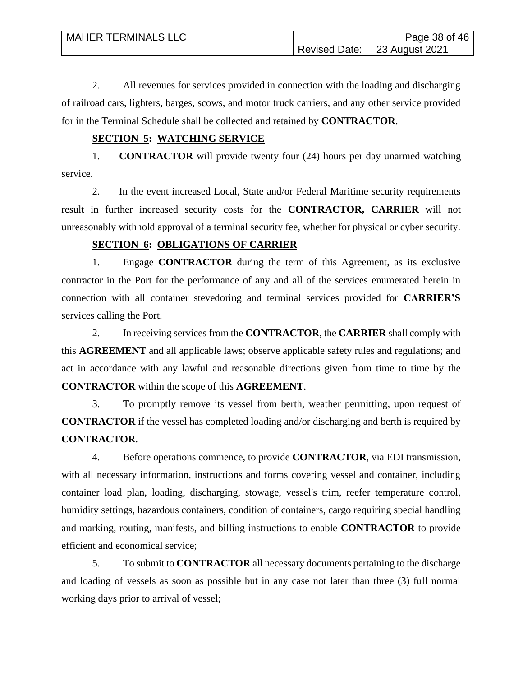| <b>MAHER TERMINALS LLC</b> | Page 38 of 46                |
|----------------------------|------------------------------|
|                            | Revised Date: 23 August 2021 |

2. All revenues for services provided in connection with the loading and discharging of railroad cars, lighters, barges, scows, and motor truck carriers, and any other service provided for in the Terminal Schedule shall be collected and retained by **CONTRACTOR**.

## **SECTION 5: WATCHING SERVICE**

1. **CONTRACTOR** will provide twenty four (24) hours per day unarmed watching service.

2. In the event increased Local, State and/or Federal Maritime security requirements result in further increased security costs for the **CONTRACTOR, CARRIER** will not unreasonably withhold approval of a terminal security fee, whether for physical or cyber security.

# **SECTION 6: OBLIGATIONS OF CARRIER**

1. Engage **CONTRACTOR** during the term of this Agreement, as its exclusive contractor in the Port for the performance of any and all of the services enumerated herein in connection with all container stevedoring and terminal services provided for **CARRIER'S** services calling the Port.

2. In receiving services from the **CONTRACTOR**, the **CARRIER** shall comply with this **AGREEMENT** and all applicable laws; observe applicable safety rules and regulations; and act in accordance with any lawful and reasonable directions given from time to time by the **CONTRACTOR** within the scope of this **AGREEMENT**.

3. To promptly remove its vessel from berth, weather permitting, upon request of **CONTRACTOR** if the vessel has completed loading and/or discharging and berth is required by **CONTRACTOR**.

4. Before operations commence, to provide **CONTRACTOR**, via EDI transmission, with all necessary information, instructions and forms covering vessel and container, including container load plan, loading, discharging, stowage, vessel's trim, reefer temperature control, humidity settings, hazardous containers, condition of containers, cargo requiring special handling and marking, routing, manifests, and billing instructions to enable **CONTRACTOR** to provide efficient and economical service;

5. To submit to **CONTRACTOR** all necessary documents pertaining to the discharge and loading of vessels as soon as possible but in any case not later than three (3) full normal working days prior to arrival of vessel;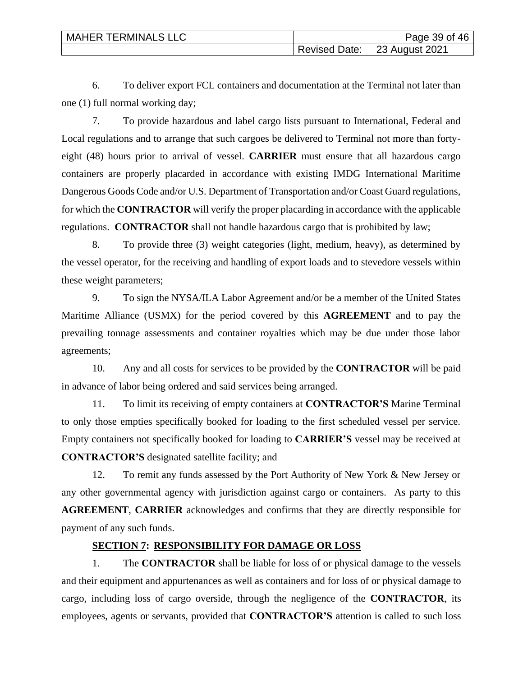| <b>MAHER TERMINALS LLC</b> | Page 39 of 46                |
|----------------------------|------------------------------|
|                            | Revised Date: 23 August 2021 |

6. To deliver export FCL containers and documentation at the Terminal not later than one (1) full normal working day;

7. To provide hazardous and label cargo lists pursuant to International, Federal and Local regulations and to arrange that such cargoes be delivered to Terminal not more than fortyeight (48) hours prior to arrival of vessel. **CARRIER** must ensure that all hazardous cargo containers are properly placarded in accordance with existing IMDG International Maritime Dangerous Goods Code and/or U.S. Department of Transportation and/or Coast Guard regulations, for which the **CONTRACTOR** will verify the proper placarding in accordance with the applicable regulations. **CONTRACTOR** shall not handle hazardous cargo that is prohibited by law;

8. To provide three (3) weight categories (light, medium, heavy), as determined by the vessel operator, for the receiving and handling of export loads and to stevedore vessels within these weight parameters;

9. To sign the NYSA/ILA Labor Agreement and/or be a member of the United States Maritime Alliance (USMX) for the period covered by this **AGREEMENT** and to pay the prevailing tonnage assessments and container royalties which may be due under those labor agreements;

10. Any and all costs for services to be provided by the **CONTRACTOR** will be paid in advance of labor being ordered and said services being arranged.

11. To limit its receiving of empty containers at **CONTRACTOR'S** Marine Terminal to only those empties specifically booked for loading to the first scheduled vessel per service. Empty containers not specifically booked for loading to **CARRIER'S** vessel may be received at **CONTRACTOR'S** designated satellite facility; and

12. To remit any funds assessed by the Port Authority of New York & New Jersey or any other governmental agency with jurisdiction against cargo or containers. As party to this **AGREEMENT**, **CARRIER** acknowledges and confirms that they are directly responsible for payment of any such funds.

#### **SECTION 7: RESPONSIBILITY FOR DAMAGE OR LOSS**

1. The **CONTRACTOR** shall be liable for loss of or physical damage to the vessels and their equipment and appurtenances as well as containers and for loss of or physical damage to cargo, including loss of cargo overside, through the negligence of the **CONTRACTOR**, its employees, agents or servants, provided that **CONTRACTOR'S** attention is called to such loss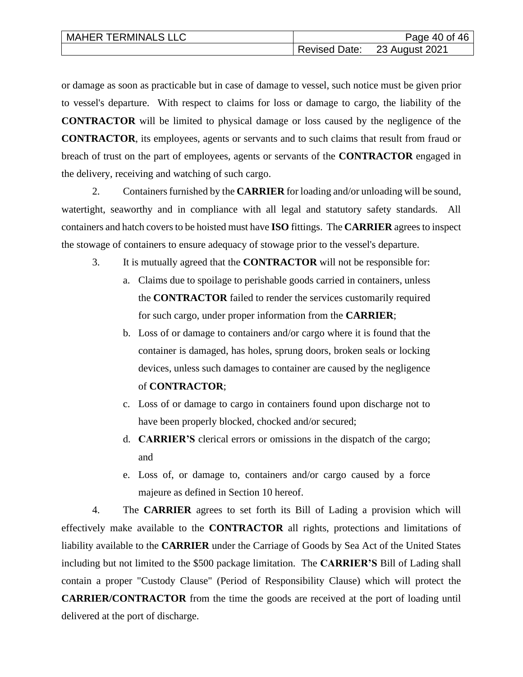| <b>MAHER TERMINALS LLC</b> | Page 40 of 46                |
|----------------------------|------------------------------|
|                            | Revised Date: 23 August 2021 |

or damage as soon as practicable but in case of damage to vessel, such notice must be given prior to vessel's departure. With respect to claims for loss or damage to cargo, the liability of the **CONTRACTOR** will be limited to physical damage or loss caused by the negligence of the **CONTRACTOR**, its employees, agents or servants and to such claims that result from fraud or breach of trust on the part of employees, agents or servants of the **CONTRACTOR** engaged in the delivery, receiving and watching of such cargo.

2. Containers furnished by the **CARRIER** for loading and/or unloading will be sound, watertight, seaworthy and in compliance with all legal and statutory safety standards. All containers and hatch covers to be hoisted must have **ISO** fittings. The **CARRIER** agrees to inspect the stowage of containers to ensure adequacy of stowage prior to the vessel's departure.

- 3. It is mutually agreed that the **CONTRACTOR** will not be responsible for:
	- a. Claims due to spoilage to perishable goods carried in containers, unless the **CONTRACTOR** failed to render the services customarily required for such cargo, under proper information from the **CARRIER**;
	- b. Loss of or damage to containers and/or cargo where it is found that the container is damaged, has holes, sprung doors, broken seals or locking devices, unless such damages to container are caused by the negligence of **CONTRACTOR**;
	- c. Loss of or damage to cargo in containers found upon discharge not to have been properly blocked, chocked and/or secured;
	- d. **CARRIER'S** clerical errors or omissions in the dispatch of the cargo; and
	- e. Loss of, or damage to, containers and/or cargo caused by a force majeure as defined in Section 10 hereof.

4. The **CARRIER** agrees to set forth its Bill of Lading a provision which will effectively make available to the **CONTRACTOR** all rights, protections and limitations of liability available to the **CARRIER** under the Carriage of Goods by Sea Act of the United States including but not limited to the \$500 package limitation. The **CARRIER'S** Bill of Lading shall contain a proper "Custody Clause" (Period of Responsibility Clause) which will protect the **CARRIER/CONTRACTOR** from the time the goods are received at the port of loading until delivered at the port of discharge.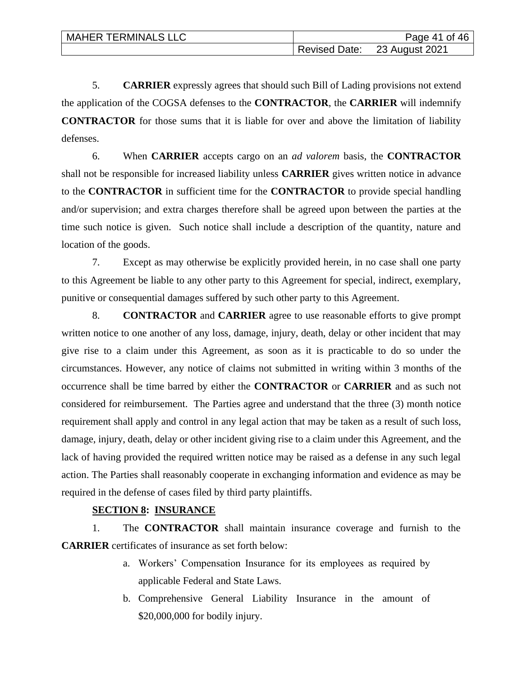| <b>MAHER TERMINALS LLC</b> | Page 41 of 46                |
|----------------------------|------------------------------|
|                            | Revised Date: 23 August 2021 |

5. **CARRIER** expressly agrees that should such Bill of Lading provisions not extend the application of the COGSA defenses to the **CONTRACTOR**, the **CARRIER** will indemnify **CONTRACTOR** for those sums that it is liable for over and above the limitation of liability defenses.

6. When **CARRIER** accepts cargo on an *ad valorem* basis, the **CONTRACTOR** shall not be responsible for increased liability unless **CARRIER** gives written notice in advance to the **CONTRACTOR** in sufficient time for the **CONTRACTOR** to provide special handling and/or supervision; and extra charges therefore shall be agreed upon between the parties at the time such notice is given. Such notice shall include a description of the quantity, nature and location of the goods.

7. Except as may otherwise be explicitly provided herein, in no case shall one party to this Agreement be liable to any other party to this Agreement for special, indirect, exemplary, punitive or consequential damages suffered by such other party to this Agreement.

8. **CONTRACTOR** and **CARRIER** agree to use reasonable efforts to give prompt written notice to one another of any loss, damage, injury, death, delay or other incident that may give rise to a claim under this Agreement, as soon as it is practicable to do so under the circumstances. However, any notice of claims not submitted in writing within 3 months of the occurrence shall be time barred by either the **CONTRACTOR** or **CARRIER** and as such not considered for reimbursement. The Parties agree and understand that the three (3) month notice requirement shall apply and control in any legal action that may be taken as a result of such loss, damage, injury, death, delay or other incident giving rise to a claim under this Agreement, and the lack of having provided the required written notice may be raised as a defense in any such legal action. The Parties shall reasonably cooperate in exchanging information and evidence as may be required in the defense of cases filed by third party plaintiffs.

## **SECTION 8: INSURANCE**

1. The **CONTRACTOR** shall maintain insurance coverage and furnish to the **CARRIER** certificates of insurance as set forth below:

- a. Workers' Compensation Insurance for its employees as required by applicable Federal and State Laws.
- b. Comprehensive General Liability Insurance in the amount of \$20,000,000 for bodily injury.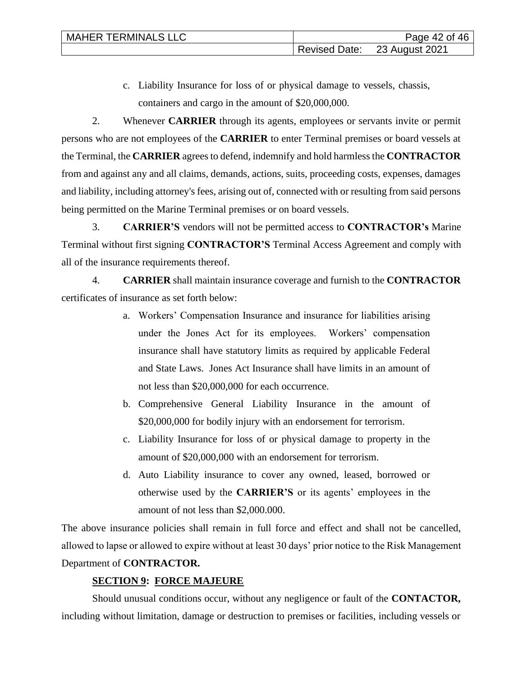c. Liability Insurance for loss of or physical damage to vessels, chassis, containers and cargo in the amount of \$20,000,000.

2. Whenever **CARRIER** through its agents, employees or servants invite or permit persons who are not employees of the **CARRIER** to enter Terminal premises or board vessels at the Terminal, the **CARRIER** agrees to defend, indemnify and hold harmless the **CONTRACTOR**  from and against any and all claims, demands, actions, suits, proceeding costs, expenses, damages and liability, including attorney's fees, arising out of, connected with or resulting from said persons being permitted on the Marine Terminal premises or on board vessels.

3. **CARRIER'S** vendors will not be permitted access to **CONTRACTOR's** Marine Terminal without first signing **CONTRACTOR'S** Terminal Access Agreement and comply with all of the insurance requirements thereof.

4. **CARRIER** shall maintain insurance coverage and furnish to the **CONTRACTOR** certificates of insurance as set forth below:

- a. Workers' Compensation Insurance and insurance for liabilities arising under the Jones Act for its employees. Workers' compensation insurance shall have statutory limits as required by applicable Federal and State Laws. Jones Act Insurance shall have limits in an amount of not less than \$20,000,000 for each occurrence.
- b. Comprehensive General Liability Insurance in the amount of \$20,000,000 for bodily injury with an endorsement for terrorism.
- c. Liability Insurance for loss of or physical damage to property in the amount of \$20,000,000 with an endorsement for terrorism.
- d. Auto Liability insurance to cover any owned, leased, borrowed or otherwise used by the **CARRIER'S** or its agents' employees in the amount of not less than \$2,000.000.

The above insurance policies shall remain in full force and effect and shall not be cancelled, allowed to lapse or allowed to expire without at least 30 days' prior notice to the Risk Management Department of **CONTRACTOR.**

# **SECTION 9: FORCE MAJEURE**

Should unusual conditions occur, without any negligence or fault of the **CONTACTOR,** including without limitation, damage or destruction to premises or facilities, including vessels or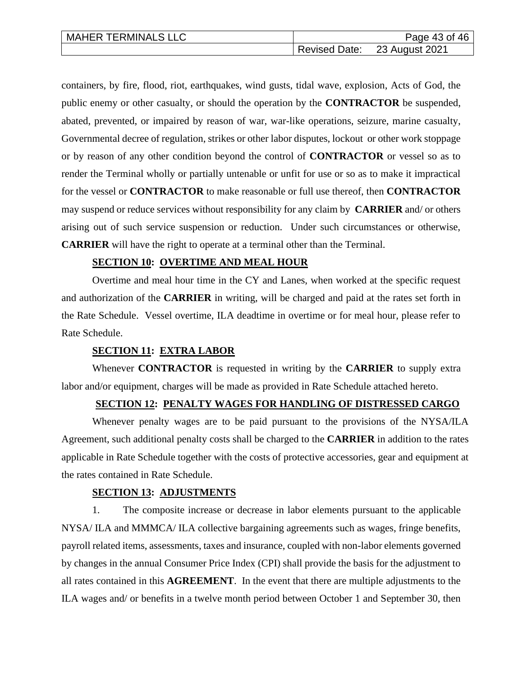| <b>MAHER TERMINALS LLC</b> | Page 43 of 46                |
|----------------------------|------------------------------|
|                            | Revised Date: 23 August 2021 |

containers, by fire, flood, riot, earthquakes, wind gusts, tidal wave, explosion, Acts of God, the public enemy or other casualty, or should the operation by the **CONTRACTOR** be suspended, abated, prevented, or impaired by reason of war, war-like operations, seizure, marine casualty, Governmental decree of regulation, strikes or other labor disputes, lockout or other work stoppage or by reason of any other condition beyond the control of **CONTRACTOR** or vessel so as to render the Terminal wholly or partially untenable or unfit for use or so as to make it impractical for the vessel or **CONTRACTOR** to make reasonable or full use thereof, then **CONTRACTOR** may suspend or reduce services without responsibility for any claim by **CARRIER** and/ or others arising out of such service suspension or reduction. Under such circumstances or otherwise, **CARRIER** will have the right to operate at a terminal other than the Terminal.

#### **SECTION 10: OVERTIME AND MEAL HOUR**

Overtime and meal hour time in the CY and Lanes, when worked at the specific request and authorization of the **CARRIER** in writing, will be charged and paid at the rates set forth in the Rate Schedule. Vessel overtime, ILA deadtime in overtime or for meal hour, please refer to Rate Schedule.

#### **SECTION 11: EXTRA LABOR**

Whenever **CONTRACTOR** is requested in writing by the **CARRIER** to supply extra labor and/or equipment, charges will be made as provided in Rate Schedule attached hereto.

#### **SECTION 12: PENALTY WAGES FOR HANDLING OF DISTRESSED CARGO**

Whenever penalty wages are to be paid pursuant to the provisions of the NYSA/ILA Agreement, such additional penalty costs shall be charged to the **CARRIER** in addition to the rates applicable in Rate Schedule together with the costs of protective accessories, gear and equipment at the rates contained in Rate Schedule.

#### **SECTION 13: ADJUSTMENTS**

1. The composite increase or decrease in labor elements pursuant to the applicable NYSA/ ILA and MMMCA/ ILA collective bargaining agreements such as wages, fringe benefits, payroll related items, assessments, taxes and insurance, coupled with non-labor elements governed by changes in the annual Consumer Price Index (CPI) shall provide the basis for the adjustment to all rates contained in this **AGREEMENT**. In the event that there are multiple adjustments to the ILA wages and/ or benefits in a twelve month period between October 1 and September 30, then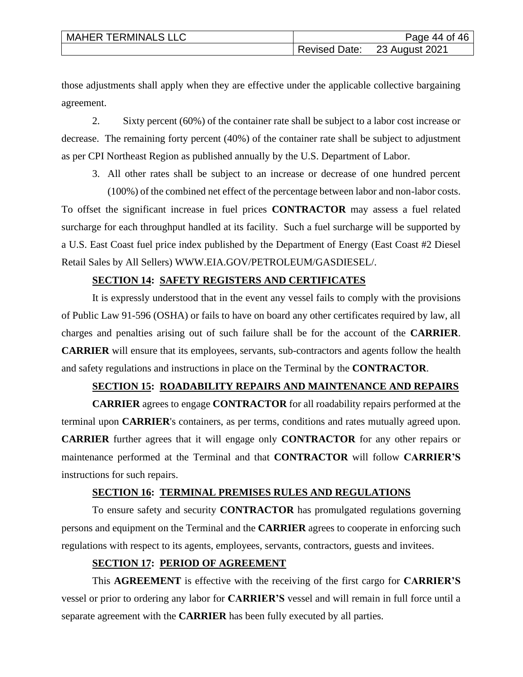| <b>MAHER TERMINALS LLC</b> | Page 44 of 46                |
|----------------------------|------------------------------|
|                            | Revised Date: 23 August 2021 |

those adjustments shall apply when they are effective under the applicable collective bargaining agreement.

2. Sixty percent (60%) of the container rate shall be subject to a labor cost increase or decrease. The remaining forty percent (40%) of the container rate shall be subject to adjustment as per CPI Northeast Region as published annually by the U.S. Department of Labor.

3. All other rates shall be subject to an increase or decrease of one hundred percent (100%) of the combined net effect of the percentage between labor and non-labor costs. To offset the significant increase in fuel prices **CONTRACTOR** may assess a fuel related surcharge for each throughput handled at its facility. Such a fuel surcharge will be supported by a U.S. East Coast fuel price index published by the Department of Energy (East Coast #2 Diesel

#### **SECTION 14: SAFETY REGISTERS AND CERTIFICATES**

Retail Sales by All Sellers) WWW.EIA.GOV/PETROLEUM/GASDIESEL/.

It is expressly understood that in the event any vessel fails to comply with the provisions of Public Law 91-596 (OSHA) or fails to have on board any other certificates required by law, all charges and penalties arising out of such failure shall be for the account of the **CARRIER**. **CARRIER** will ensure that its employees, servants, sub-contractors and agents follow the health and safety regulations and instructions in place on the Terminal by the **CONTRACTOR**.

#### **SECTION 15: ROADABILITY REPAIRS AND MAINTENANCE AND REPAIRS**

**CARRIER** agrees to engage **CONTRACTOR** for all roadability repairs performed at the terminal upon **CARRIER**'s containers, as per terms, conditions and rates mutually agreed upon. **CARRIER** further agrees that it will engage only **CONTRACTOR** for any other repairs or maintenance performed at the Terminal and that **CONTRACTOR** will follow **CARRIER'S** instructions for such repairs.

#### **SECTION 16: TERMINAL PREMISES RULES AND REGULATIONS**

To ensure safety and security **CONTRACTOR** has promulgated regulations governing persons and equipment on the Terminal and the **CARRIER** agrees to cooperate in enforcing such regulations with respect to its agents, employees, servants, contractors, guests and invitees.

#### **SECTION 17: PERIOD OF AGREEMENT**

This **AGREEMENT** is effective with the receiving of the first cargo for **CARRIER'S** vessel or prior to ordering any labor for **CARRIER'S** vessel and will remain in full force until a separate agreement with the **CARRIER** has been fully executed by all parties.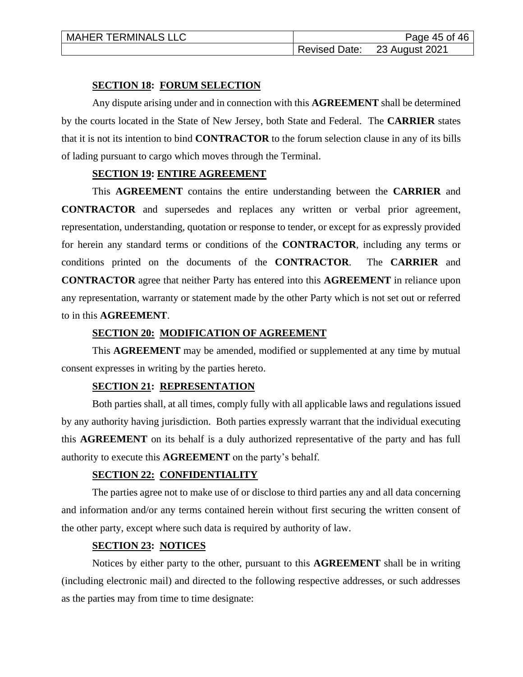#### **SECTION 18: FORUM SELECTION**

Any dispute arising under and in connection with this **AGREEMENT** shall be determined by the courts located in the State of New Jersey, both State and Federal. The **CARRIER** states that it is not its intention to bind **CONTRACTOR** to the forum selection clause in any of its bills of lading pursuant to cargo which moves through the Terminal.

#### **SECTION 19: ENTIRE AGREEMENT**

This **AGREEMENT** contains the entire understanding between the **CARRIER** and **CONTRACTOR** and supersedes and replaces any written or verbal prior agreement, representation, understanding, quotation or response to tender, or except for as expressly provided for herein any standard terms or conditions of the **CONTRACTOR**, including any terms or conditions printed on the documents of the **CONTRACTOR**. The **CARRIER** and **CONTRACTOR** agree that neither Party has entered into this **AGREEMENT** in reliance upon any representation, warranty or statement made by the other Party which is not set out or referred to in this **AGREEMENT**.

#### **SECTION 20: MODIFICATION OF AGREEMENT**

This **AGREEMENT** may be amended, modified or supplemented at any time by mutual consent expresses in writing by the parties hereto.

#### **SECTION 21: REPRESENTATION**

Both parties shall, at all times, comply fully with all applicable laws and regulations issued by any authority having jurisdiction. Both parties expressly warrant that the individual executing this **AGREEMENT** on its behalf is a duly authorized representative of the party and has full authority to execute this **AGREEMENT** on the party's behalf.

## **SECTION 22: CONFIDENTIALITY**

The parties agree not to make use of or disclose to third parties any and all data concerning and information and/or any terms contained herein without first securing the written consent of the other party, except where such data is required by authority of law.

## **SECTION 23: NOTICES**

Notices by either party to the other, pursuant to this **AGREEMENT** shall be in writing (including electronic mail) and directed to the following respective addresses, or such addresses as the parties may from time to time designate: